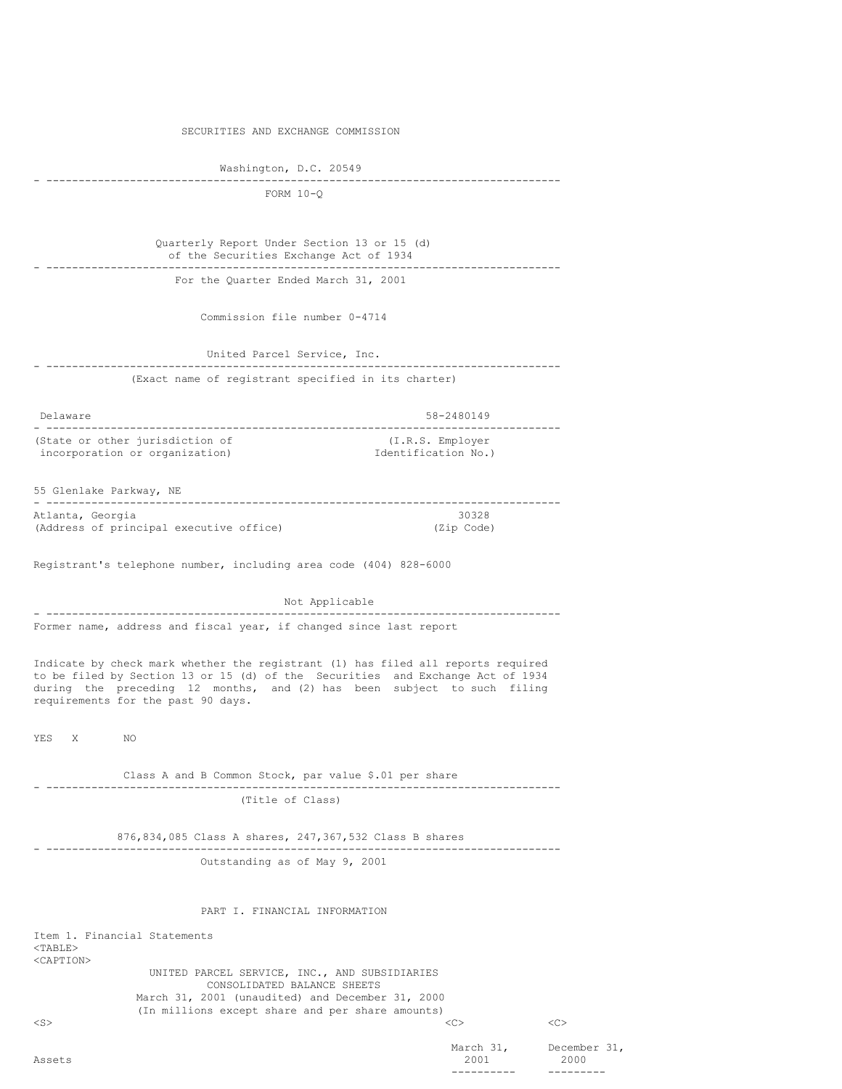|  | SECURITIES AND EXCHANGE COMMISSION |
|--|------------------------------------|
|  |                                    |

Washington, D.C. 20549

#### - -------------------------------------------------------------------------------- FORM 10-Q

| Quarterly Report Under Section 13 or 15 (d) |  |
|---------------------------------------------|--|
| of the Securities Exchange Act of 1934      |  |
|                                             |  |
| For the Quarter Ended March 31, 2001        |  |

Commission file number 0-4714

# United Parcel Service, Inc. - -------------------------------------------------------------------------------- (Exact name of registrant specified in its charter)

| Delaware                        | 58-2480149          |  |  |
|---------------------------------|---------------------|--|--|
|                                 |                     |  |  |
| (State or other jurisdiction of | (I.R.S. Employer)   |  |  |
| incorporation or organization)  | Identification No.) |  |  |

### 55 Glenlake Parkway, NE - -------------------------------------------------------------------------------- Atlanta, Georgia (Address of principal executive office) (Zip Code)

Registrant's telephone number, including area code (404) 828-6000

Not Applicable - -------------------------------------------------------------------------------- Former name, address and fiscal year, if changed since last report

Indicate by check mark whether the registrant (1) has filed all reports required to be filed by Section 13 or 15 (d) of the Securities and Exchange Act of 1934 during the preceding 12 months, and (2) has been subject to such filing requirements for the past 90 days.

YES X NO

Class A and B Common Stock, par value \$.01 per share - -------------------------------------------------------------------------------- (Title of Class)

876,834,085 Class A shares, 247,367,532 Class B shares - --------------------------------------------------------------------------------

Outstanding as of May 9, 2001

#### PART I. FINANCIAL INFORMATION

Item 1. Financial Statements <TABLE> <CAPTION> UNITED PARCEL SERVICE, INC., AND SUBSIDIARIES CONSOLIDATED BALANCE SHEETS March 31, 2001 (unaudited) and December 31, 2000 (In millions except share and per share amounts) <S> <C> <C>

March 31, December 31, 2001 2000 Assets 2001 2000 ---------- ---------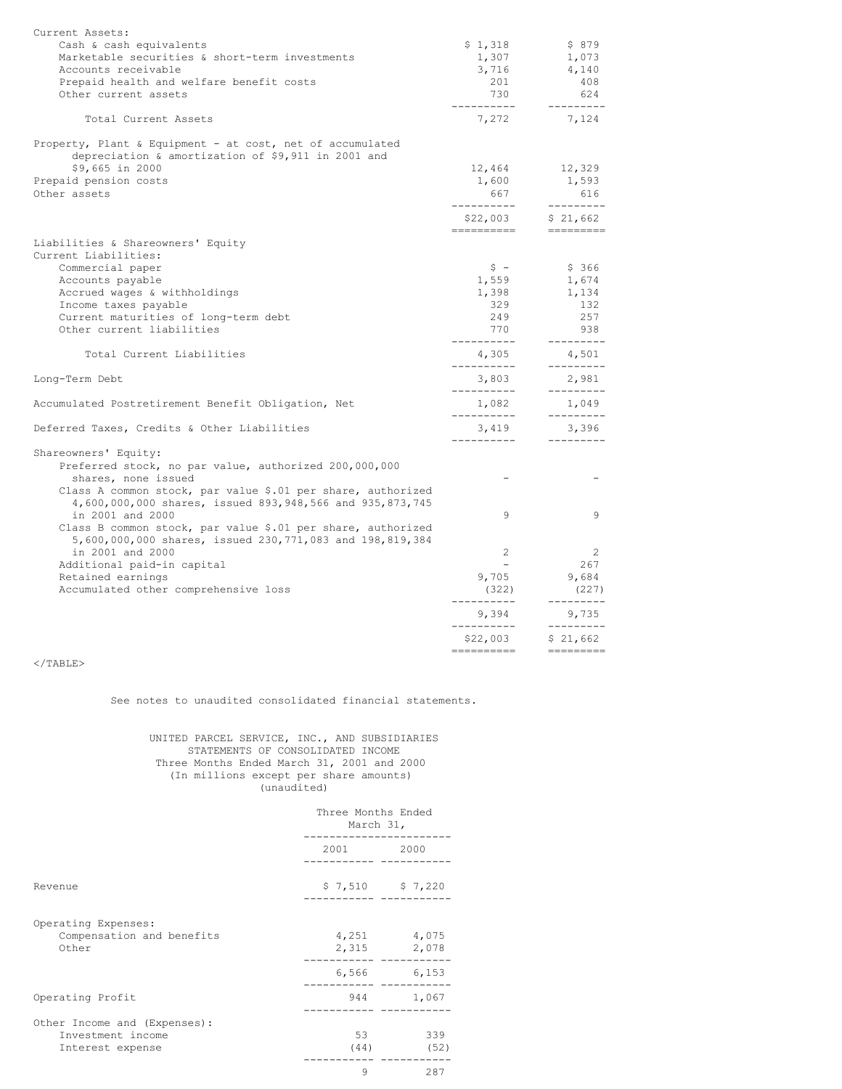| Current Assets:                                                                                                         |                        |                                                                                                                                                                                                                                                                                                                                                                                                                                                                                                                               |
|-------------------------------------------------------------------------------------------------------------------------|------------------------|-------------------------------------------------------------------------------------------------------------------------------------------------------------------------------------------------------------------------------------------------------------------------------------------------------------------------------------------------------------------------------------------------------------------------------------------------------------------------------------------------------------------------------|
| Cash & cash equivalents                                                                                                 | \$1,318                | \$879                                                                                                                                                                                                                                                                                                                                                                                                                                                                                                                         |
| Marketable securities & short-term investments                                                                          | 1,307                  | 1,073                                                                                                                                                                                                                                                                                                                                                                                                                                                                                                                         |
| Accounts receivable                                                                                                     | 3,716                  | 4,140                                                                                                                                                                                                                                                                                                                                                                                                                                                                                                                         |
| Prepaid health and welfare benefit costs                                                                                | 201                    | 408                                                                                                                                                                                                                                                                                                                                                                                                                                                                                                                           |
| Other current assets                                                                                                    | 730<br>-----------     | 624<br>$- - - - - - - - -$                                                                                                                                                                                                                                                                                                                                                                                                                                                                                                    |
| Total Current Assets                                                                                                    | 7,272                  | 7,124                                                                                                                                                                                                                                                                                                                                                                                                                                                                                                                         |
| Property, Plant & Equipment - at cost, net of accumulated                                                               |                        |                                                                                                                                                                                                                                                                                                                                                                                                                                                                                                                               |
| depreciation & amortization of \$9,911 in 2001 and<br>\$9,665 in 2000                                                   | 12,464                 | 12,329                                                                                                                                                                                                                                                                                                                                                                                                                                                                                                                        |
| Prepaid pension costs                                                                                                   | 1,600                  | 1,593                                                                                                                                                                                                                                                                                                                                                                                                                                                                                                                         |
| Other assets                                                                                                            | 667                    | 616                                                                                                                                                                                                                                                                                                                                                                                                                                                                                                                           |
|                                                                                                                         | ----------             | ---------                                                                                                                                                                                                                                                                                                                                                                                                                                                                                                                     |
|                                                                                                                         | \$22,003<br>---------- | \$21,662<br>$\begin{tabular}{ll} \multicolumn{3}{l}{{\small\textrm{}}}\end{tabular} \begin{tabular}{l} \multicolumn{3}{l}{\textbf{}}}\end{tabular} \begin{tabular}{l} \multicolumn{3}{l}{\textbf{}}}\end{tabular} \begin{tabular}{l} \multicolumn{3}{l}{\textbf{}}}\end{tabular} \begin{tabular}{l} \multicolumn{3}{l}{\textbf{}}}\end{tabular} \begin{tabular}{l} \multicolumn{3}{l}{\textbf{}}}\end{tabular} \begin{tabular}{l} \multicolumn{3}{l}{\textbf{}}}\end{tabular} \begin{tabular}{l} \multicolumn{3}{l}{\textbf{$ |
| Liabilities & Shareowners' Equity                                                                                       |                        |                                                                                                                                                                                                                                                                                                                                                                                                                                                                                                                               |
| Current Liabilities:                                                                                                    |                        |                                                                                                                                                                                                                                                                                                                                                                                                                                                                                                                               |
| Commercial paper                                                                                                        | $\hat{S}$ –            | \$366                                                                                                                                                                                                                                                                                                                                                                                                                                                                                                                         |
| Accounts payable                                                                                                        | 1,559                  | 1,674                                                                                                                                                                                                                                                                                                                                                                                                                                                                                                                         |
| Accrued wages & withholdings                                                                                            | 1,398                  | 1,134                                                                                                                                                                                                                                                                                                                                                                                                                                                                                                                         |
| Income taxes payable                                                                                                    | 329                    | 132                                                                                                                                                                                                                                                                                                                                                                                                                                                                                                                           |
| Current maturities of long-term debt                                                                                    | 249                    | 257                                                                                                                                                                                                                                                                                                                                                                                                                                                                                                                           |
| Other current liabilities                                                                                               | 770<br>-----------     | 938<br>---------                                                                                                                                                                                                                                                                                                                                                                                                                                                                                                              |
| Total Current Liabilities                                                                                               | 4,305<br>-----------   | 4,501<br>---------                                                                                                                                                                                                                                                                                                                                                                                                                                                                                                            |
| Long-Term Debt                                                                                                          | 3,803<br>------------  | 2,981<br>---------                                                                                                                                                                                                                                                                                                                                                                                                                                                                                                            |
| Accumulated Postretirement Benefit Obligation, Net                                                                      | 1,082                  | 1,049                                                                                                                                                                                                                                                                                                                                                                                                                                                                                                                         |
| Deferred Taxes, Credits & Other Liabilities                                                                             | -----------<br>3,419   | ---------<br>3,396                                                                                                                                                                                                                                                                                                                                                                                                                                                                                                            |
|                                                                                                                         | -----------            | $- - - - - - - - -$                                                                                                                                                                                                                                                                                                                                                                                                                                                                                                           |
| Shareowners' Equity:                                                                                                    |                        |                                                                                                                                                                                                                                                                                                                                                                                                                                                                                                                               |
| Preferred stock, no par value, authorized 200,000,000                                                                   |                        |                                                                                                                                                                                                                                                                                                                                                                                                                                                                                                                               |
| shares, none issued                                                                                                     |                        |                                                                                                                                                                                                                                                                                                                                                                                                                                                                                                                               |
| Class A common stock, par value \$.01 per share, authorized<br>4,600,000,000 shares, issued 893,948,566 and 935,873,745 |                        |                                                                                                                                                                                                                                                                                                                                                                                                                                                                                                                               |
| in 2001 and 2000                                                                                                        | 9                      | 9                                                                                                                                                                                                                                                                                                                                                                                                                                                                                                                             |
| Class B common stock, par value \$.01 per share, authorized                                                             |                        |                                                                                                                                                                                                                                                                                                                                                                                                                                                                                                                               |
| 5,600,000,000 shares, issued 230,771,083 and 198,819,384                                                                |                        |                                                                                                                                                                                                                                                                                                                                                                                                                                                                                                                               |
| in 2001 and 2000                                                                                                        | 2                      | 2                                                                                                                                                                                                                                                                                                                                                                                                                                                                                                                             |
| Additional paid-in capital                                                                                              | $\sim$                 | 267                                                                                                                                                                                                                                                                                                                                                                                                                                                                                                                           |
| Retained earnings                                                                                                       | 9,705                  | 9,684                                                                                                                                                                                                                                                                                                                                                                                                                                                                                                                         |
| Accumulated other comprehensive loss                                                                                    | (322)                  | (227)                                                                                                                                                                                                                                                                                                                                                                                                                                                                                                                         |
|                                                                                                                         | -----------<br>9,394   | ---------<br>9,735                                                                                                                                                                                                                                                                                                                                                                                                                                                                                                            |
|                                                                                                                         | -----------            | $- - - - - - - - -$<br>\$21,662                                                                                                                                                                                                                                                                                                                                                                                                                                                                                               |
|                                                                                                                         | \$22,003               | =========                                                                                                                                                                                                                                                                                                                                                                                                                                                                                                                     |

# $<$ /TABLE>

See notes to unaudited consolidated financial statements.

UNITED PARCEL SERVICE, INC., AND SUBSIDIARIES STATEMENTS OF CONSOLIDATED INCOME Three Months Ended March 31, 2001 and 2000 (In millions except per share amounts) (unaudited)

|                                                                       | Three Months Ended<br>March 31, |                            |  |
|-----------------------------------------------------------------------|---------------------------------|----------------------------|--|
|                                                                       | 2001 2002                       | 2000                       |  |
| Revenue                                                               |                                 | $$7,510$ $$7,220$          |  |
| Operating Expenses:<br>Compensation and benefits<br>Other             |                                 | 4,251 4,075<br>2,315 2,078 |  |
|                                                                       |                                 | 6,566 6,153                |  |
| Operating Profit                                                      | 944 — 100                       | 1,067                      |  |
| Other Income and (Expenses):<br>Investment income<br>Interest expense | 53<br>(44)                      | 339<br>(52)                |  |
|                                                                       | 9                               | 287                        |  |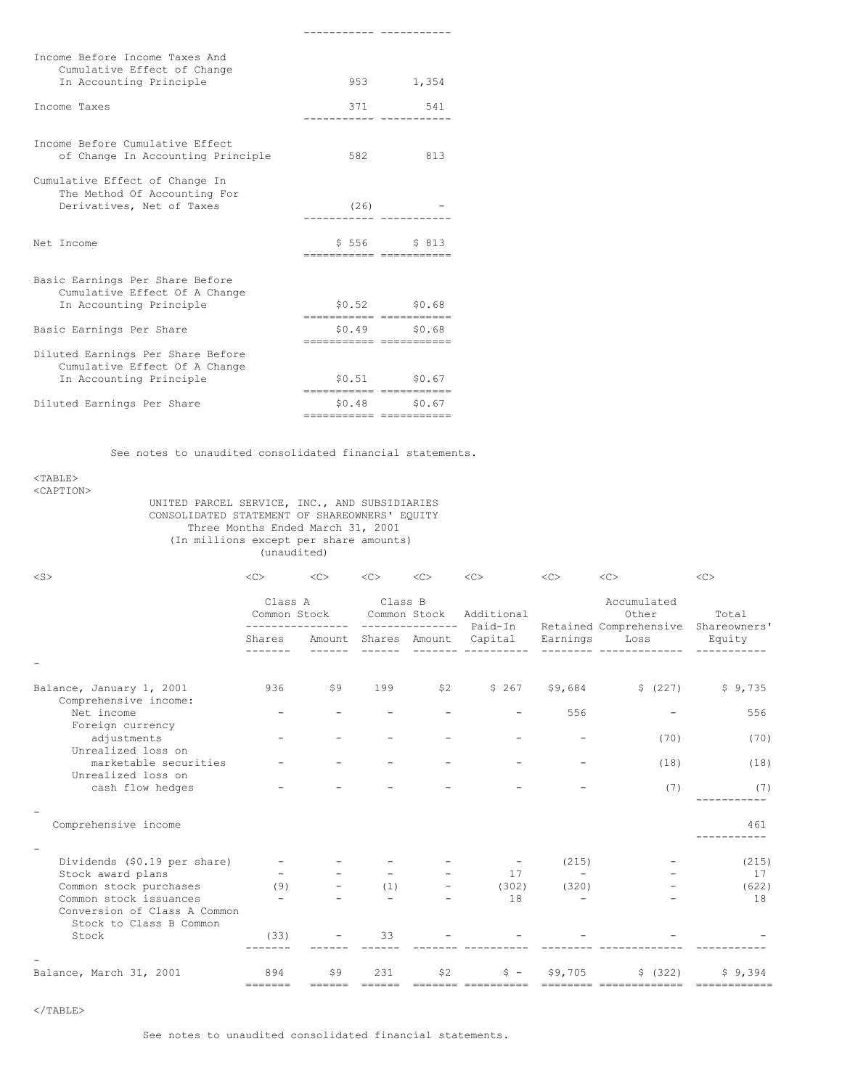| Income Before Income Taxes And<br>Cumulative Effect of Change                               |                                                         |                 |
|---------------------------------------------------------------------------------------------|---------------------------------------------------------|-----------------|
| In Accounting Principle                                                                     |                                                         | 953 1,354       |
| Income Taxes                                                                                |                                                         | 371 541         |
| Income Before Cumulative Effect<br>of Change In Accounting Principle                        | 582                                                     | 813             |
| Cumulative Effect of Change In<br>The Method Of Accounting For<br>Derivatives, Net of Taxes | (26)                                                    |                 |
| Net Income                                                                                  | ------------ -----------                                | $$556$ $$813$   |
| Basic Earnings Per Share Before<br>Cumulative Effect Of A Change                            |                                                         |                 |
| In Accounting Principle                                                                     |                                                         | $$0.52$ $$0.68$ |
| Basic Earnings Per Share                                                                    | ------------ -----------<br><u> secondocer concerne</u> | $$0.49$ $$0.68$ |
| Diluted Earnings Per Share Before<br>Cumulative Effect Of A Change                          |                                                         |                 |
| In Accounting Principle                                                                     |                                                         | \$0.51 \$0.67   |
| Diluted Earnings Per Share                                                                  | cococococo cocococo<br>========================         | $$0.48$ $$0.67$ |

See notes to unaudited consolidated financial statements.

----------- -----------

#### <TABLE> <CAPTION>

UNITED PARCEL SERVICE, INC., AND SUBSIDIARIES CONSOLIDATED STATEMENT OF SHAREOWNERS' EQUITY Three Months Ended March 31, 2001 (In millions except per share amounts) (unaudited)

| $<$ S>                                                  | $<$ C $>$                | <<  | $<\infty$            | $<$ C $>$                     | <<         | $<$ C>                            | $<$ C $>$                                              | <<                    |
|---------------------------------------------------------|--------------------------|-----|----------------------|-------------------------------|------------|-----------------------------------|--------------------------------------------------------|-----------------------|
|                                                         | Class A<br>Common Stock  |     | Class B              | Common Stock<br>_____________ | Additional |                                   | Accumulated<br>Other<br>Paid-In Retained Comprehensive | Total<br>Shareowners' |
|                                                         | Shares                   |     | Amount Shares Amount |                               | Capital    | Earnings                          | Loss                                                   | Equity                |
|                                                         |                          |     |                      |                               |            |                                   |                                                        |                       |
| Balance, January 1, 2001<br>Comprehensive income:       | 936                      | \$9 | 199                  | \$2                           | \$267      | \$9,684                           | \$ (227)                                               | \$9,735               |
| Net income                                              |                          |     |                      |                               |            | 556                               |                                                        | 556                   |
| Foreign currency<br>adjustments<br>Unrealized loss on   |                          |     |                      |                               |            |                                   | (70)                                                   | (70)                  |
| marketable securities                                   |                          |     |                      |                               |            |                                   | (18)                                                   | (18)                  |
| Unrealized loss on                                      |                          |     |                      |                               |            |                                   |                                                        |                       |
| cash flow hedges                                        |                          |     |                      |                               |            |                                   | (7)                                                    | (7)                   |
| Comprehensive income                                    |                          |     |                      |                               |            |                                   |                                                        | 461                   |
|                                                         |                          |     |                      |                               |            |                                   |                                                        |                       |
| Dividends (\$0.19 per share)                            |                          |     |                      |                               | 17         | (215)<br>$\overline{\phantom{0}}$ |                                                        | (215)<br>17           |
| Stock award plans<br>Common stock purchases             | (9)                      |     | (1)                  |                               | (302)      | (320)                             |                                                        | (622)                 |
| Common stock issuances                                  | $\overline{\phantom{0}}$ |     |                      |                               | 18         |                                   |                                                        | 18                    |
| Conversion of Class A Common<br>Stock to Class B Common |                          |     |                      |                               |            |                                   |                                                        |                       |
| Stock                                                   | (33)                     |     | 33                   |                               |            |                                   |                                                        |                       |
|                                                         |                          |     |                      |                               |            |                                   |                                                        |                       |
| Balance, March 31, 2001                                 | 894                      | \$9 | 231                  | \$2<br>=======                | $S =$      | \$9,705                           | \$ (322)                                               | \$9,394               |

</TABLE>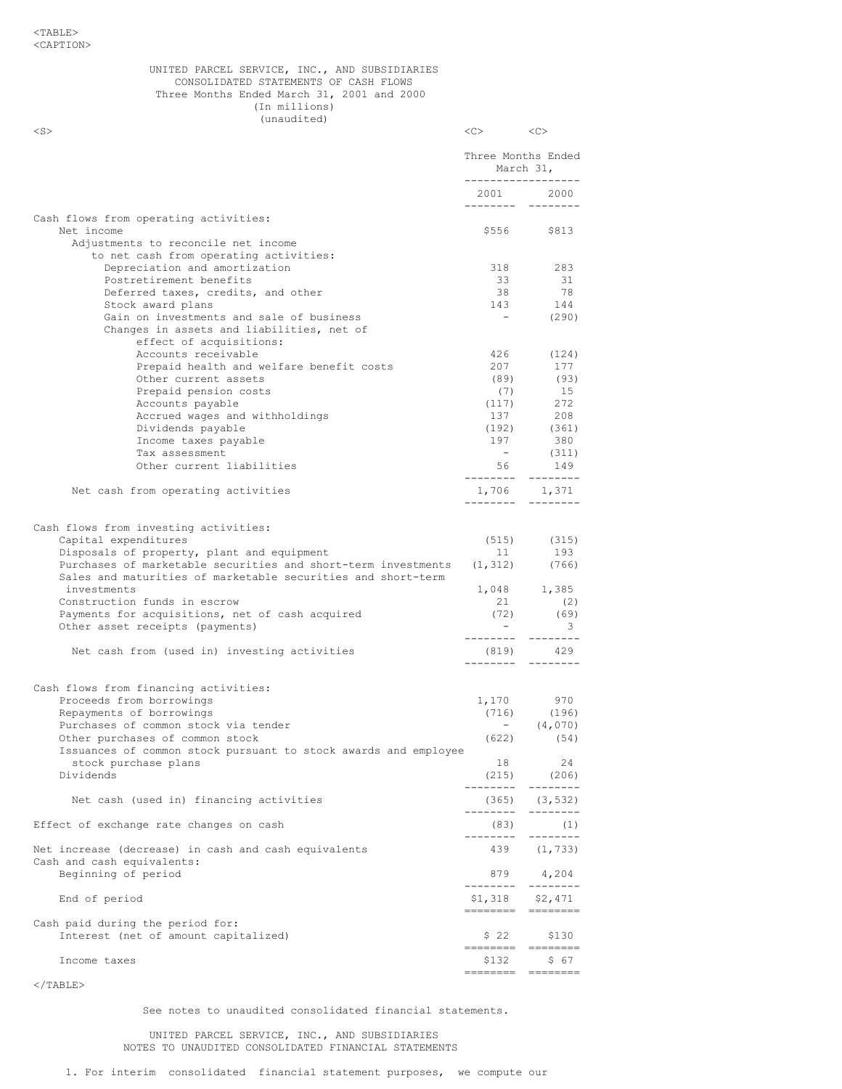#### UNITED PARCEL SERVICE, INC., AND SUBSIDIARIES CONSOLIDATED STATEMENTS OF CASH FLOWS Three Months Ended March 31, 2001 and 2000 (In millions) (unaudited)

 $\langle$ S>  $\langle$ C>  $\langle$ C>  $\langle$ C>  $\langle$ C

|                                                                                                                                                                                                                                                             |                                                               | Three Months Ended<br>March 31,                 |
|-------------------------------------------------------------------------------------------------------------------------------------------------------------------------------------------------------------------------------------------------------------|---------------------------------------------------------------|-------------------------------------------------|
|                                                                                                                                                                                                                                                             | ------------------                                            | 2001 2000                                       |
| Cash flows from operating activities:<br>Net income<br>Adjustments to reconcile net income                                                                                                                                                                  | \$556                                                         | \$813                                           |
| to net cash from operating activities:<br>Depreciation and amortization<br>Postretirement benefits                                                                                                                                                          | 318<br>33                                                     | 283<br>31                                       |
| Deferred taxes, credits, and other<br>Stock award plans<br>Gain on investments and sale of business<br>Changes in assets and liabilities, net of                                                                                                            | 38<br>143<br>$\sim$                                           | 78<br>144<br>(290)                              |
| effect of acquisitions:<br>Accounts receivable<br>Prepaid health and welfare benefit costs<br>Other current assets                                                                                                                                          | 426<br>207<br>(89)                                            | (124)<br>177<br>(93)                            |
| Prepaid pension costs<br>Accounts payable<br>Accrued wages and withholdings                                                                                                                                                                                 | (7)<br>(117)<br>137                                           | 15<br>272<br>208                                |
| Dividends payable<br>Income taxes payable<br>Tax assessment<br>Other current liabilities                                                                                                                                                                    | (192)<br>197<br>$\sim$                                        | (361)<br>380<br>(311)<br>$56$ 149               |
| Net cash from operating activities                                                                                                                                                                                                                          | ---------                                                     | $1,706$ $1,371$<br>--------                     |
| Cash flows from investing activities:<br>Capital expenditures<br>Disposals of property, plant and equipment<br>Purchases of marketable securities and short-term investments<br>Sales and maturities of marketable securities and short-term<br>investments | (515)<br>11                                                   | (315)<br>193<br>$(1, 312)$ (766)<br>1,048 1,385 |
| Construction funds in escrow<br>Payments for acquisitions, net of cash acquired<br>Other asset receipts (payments)                                                                                                                                          | 21<br>(72)<br>$\alpha \rightarrow \alpha \beta$ .<br>________ | (2)<br>(69)<br>3<br>---------                   |
| Net cash from (used in) investing activities                                                                                                                                                                                                                | (819)<br>---------                                            | 429<br>--------                                 |
| Cash flows from financing activities:<br>Proceeds from borrowings<br>Repayments of borrowings<br>Purchases of common stock via tender<br>Other purchases of common stock                                                                                    | 1,170<br>(622)                                                | 970<br>$(716)$ $(196)$<br>- $(4,070)$<br>(54)   |
| Issuances of common stock pursuant to stock awards and employee<br>stock purchase plans<br>Dividends                                                                                                                                                        | 18<br>(215)<br>--------                                       | 24<br>(206)<br>$- - -$                          |
| Net cash (used in) financing activities                                                                                                                                                                                                                     | (365)<br>.                                                    | (3, 532)<br>--------                            |
| Effect of exchange rate changes on cash                                                                                                                                                                                                                     | (83)<br>--------                                              | (1)<br>--------                                 |
| Net increase (decrease) in cash and cash equivalents<br>Cash and cash equivalents:                                                                                                                                                                          | 439                                                           | (1, 733)                                        |
| Beginning of period<br>End of period                                                                                                                                                                                                                        | 879<br>--------<br>\$1,318                                    | 4,204<br>\$2,471                                |
| Cash paid during the period for:                                                                                                                                                                                                                            |                                                               |                                                 |
| Interest (net of amount capitalized)                                                                                                                                                                                                                        | \$22                                                          | \$130                                           |
| Income taxes                                                                                                                                                                                                                                                | \$132                                                         | \$67                                            |

# $<$ /TABLE $>$

See notes to unaudited consolidated financial statements.

UNITED PARCEL SERVICE, INC., AND SUBSIDIARIES NOTES TO UNAUDITED CONSOLIDATED FINANCIAL STATEMENTS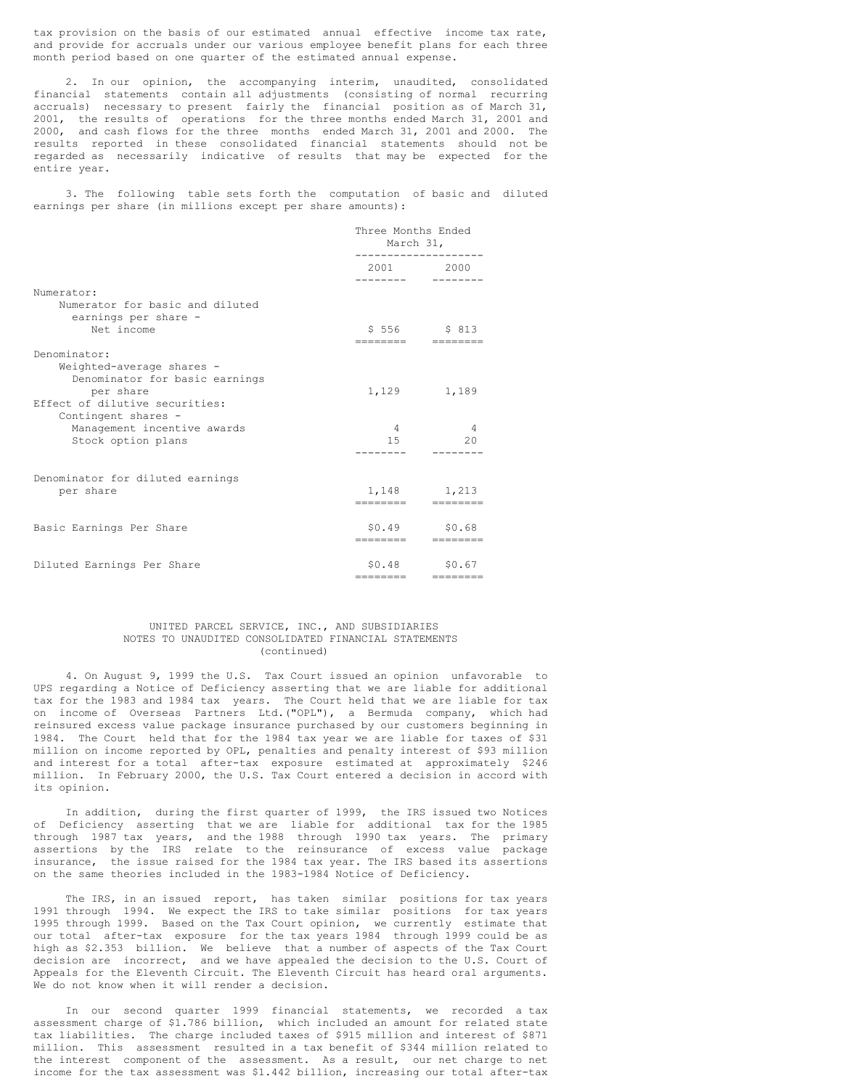tax provision on the basis of our estimated annual effective income tax rate, and provide for accruals under our various employee benefit plans for each three month period based on one quarter of the estimated annual expense.

2. In our opinion, the accompanying interim, unaudited, consolidated financial statements contain all adjustments (consisting of normal recurring accruals) necessary to present fairly the financial position as of March 31, 2001, the results of operations for the three months ended March 31, 2001 and 2000, and cash flows for the three months ended March 31, 2001 and 2000. The results reported in these consolidated financial statements should not be regarded as necessarily indicative of results that may be expected for the entire year.

3. The following table sets forth the computation of basic and diluted earnings per share (in millions except per share amounts):

|                                                                                                                         | Three Months Ended<br>March 31,         |                        |  |
|-------------------------------------------------------------------------------------------------------------------------|-----------------------------------------|------------------------|--|
|                                                                                                                         | 2001 2000<br>. _ _ _ _ _ _ _            |                        |  |
| Numerator:<br>Numerator for basic and diluted<br>earnings per share -<br>Net income                                     | \$556 \$813                             |                        |  |
| Denominator:<br>Weighted-average shares -<br>Denominator for basic earnings                                             | ________                                | =========              |  |
| per share<br>Effect of dilutive securities:<br>Contingent shares -<br>Management incentive awards<br>Stock option plans | 1,129 1,189<br>$\overline{4}$<br>$15 -$ | $\overline{4}$<br>20   |  |
| Denominator for diluted earnings<br>per share                                                                           | 1,148 1,213<br>---------                | $=$ ========           |  |
| Basic Earnings Per Share                                                                                                | $$0.49$ $$0.68$<br>---------            | --------               |  |
| Diluted Earnings Per Share                                                                                              | \$0.48<br>========                      | \$0.67<br>$=$ ======== |  |

#### UNITED PARCEL SERVICE, INC., AND SUBSIDIARIES NOTES TO UNAUDITED CONSOLIDATED FINANCIAL STATEMENTS (continued)

4. On August 9, 1999 the U.S. Tax Court issued an opinion unfavorable to UPS regarding a Notice of Deficiency asserting that we are liable for additional tax for the 1983 and 1984 tax years. The Court held that we are liable for tax on income of Overseas Partners Ltd.("OPL"), a Bermuda company, which had reinsured excess value package insurance purchased by our customers beginning in 1984. The Court held that for the 1984 tax year we are liable for taxes of \$31 million on income reported by OPL, penalties and penalty interest of \$93 million and interest for a total after-tax exposure estimated at approximately \$246 million. In February 2000, the U.S. Tax Court entered a decision in accord with its opinion.

In addition, during the first quarter of 1999, the IRS issued two Notices of Deficiency asserting that we are liable for additional tax for the 1985 through 1987 tax years, and the 1988 through 1990 tax years. The primary assertions by the IRS relate to the reinsurance of excess value package insurance, the issue raised for the 1984 tax year. The IRS based its assertions on the same theories included in the 1983-1984 Notice of Deficiency.

The IRS, in an issued report, has taken similar positions for tax years 1991 through 1994. We expect the IRS to take similar positions for tax years 1995 through 1999. Based on the Tax Court opinion, we currently estimate that our total after-tax exposure for the tax years 1984 through 1999 could be as high as \$2.353 billion. We believe that a number of aspects of the Tax Court decision are incorrect, and we have appealed the decision to the U.S. Court of Appeals for the Eleventh Circuit. The Eleventh Circuit has heard oral arguments. We do not know when it will render a decision.

In our second quarter 1999 financial statements, we recorded a tax assessment charge of \$1.786 billion, which included an amount for related state tax liabilities. The charge included taxes of \$915 million and interest of \$871 million. This assessment resulted in a tax benefit of \$344 million related to the interest component of the assessment. As a result, our net charge to net income for the tax assessment was \$1.442 billion, increasing our total after-tax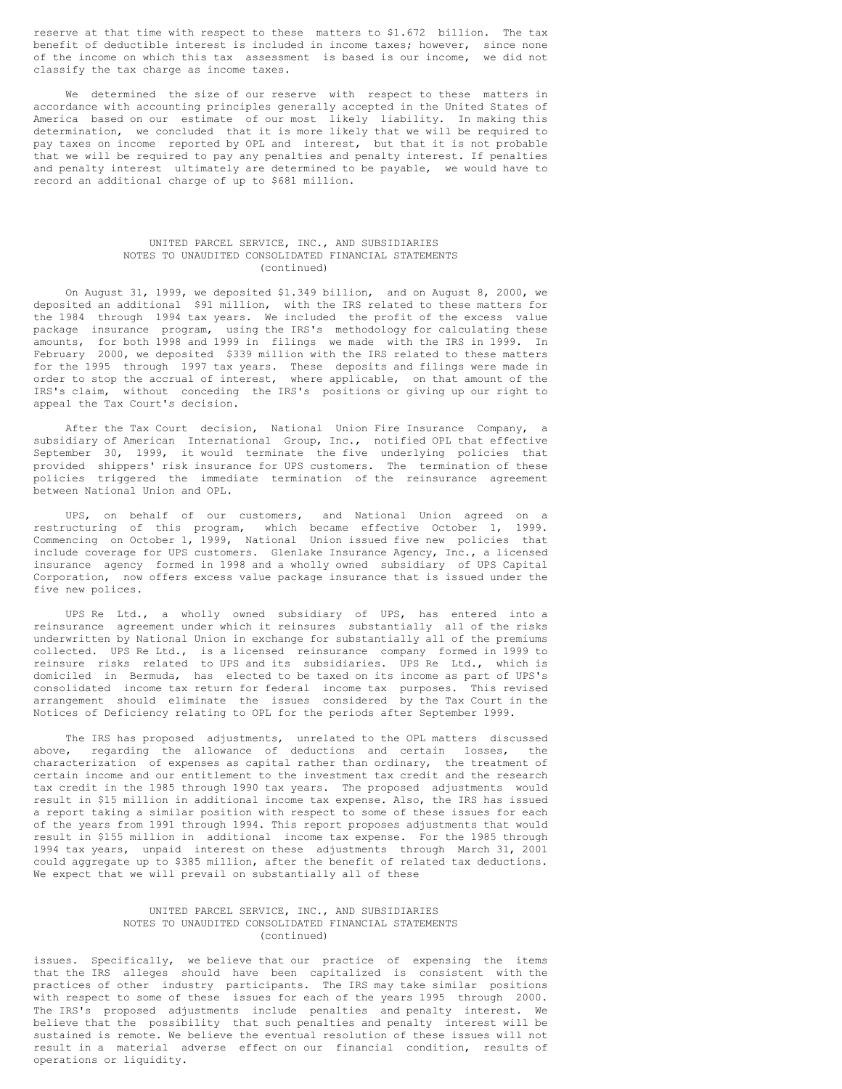reserve at that time with respect to these matters to \$1.672 billion. The tax benefit of deductible interest is included in income taxes; however, since none of the income on which this tax assessment is based is our income, we did not classify the tax charge as income taxes.

We determined the size of our reserve with respect to these matters in accordance with accounting principles generally accepted in the United States of America based on our estimate of our most likely liability. In making this determination, we concluded that it is more likely that we will be required to pay taxes on income reported by OPL and interest, but that it is not probable that we will be required to pay any penalties and penalty interest. If penalties and penalty interest ultimately are determined to be payable, we would have to record an additional charge of up to \$681 million.

### UNITED PARCEL SERVICE, INC., AND SUBSIDIARIES NOTES TO UNAUDITED CONSOLIDATED FINANCIAL STATEMENTS (continued)

On August 31, 1999, we deposited \$1.349 billion, and on August 8, 2000, we deposited an additional \$91 million, with the IRS related to these matters for the 1984 through 1994 tax years. We included the profit of the excess value package insurance program, using the IRS's methodology for calculating these amounts, for both 1998 and 1999 in filings we made with the IRS in 1999. In February 2000, we deposited \$339 million with the IRS related to these matters for the 1995 through 1997 tax years. These deposits and filings were made in order to stop the accrual of interest, where applicable, on that amount of the IRS's claim, without conceding the IRS's positions or giving up our right to appeal the Tax Court's decision.

After the Tax Court decision, National Union Fire Insurance Company, a subsidiary of American International Group, Inc., notified OPL that effective September 30, 1999, it would terminate the five underlying policies that provided shippers' risk insurance for UPS customers. The termination of these policies triggered the immediate termination of the reinsurance agreement between National Union and OPL.

UPS, on behalf of our customers, and National Union agreed on a restructuring of this program, which became effective October 1, 1999. Commencing on October 1, 1999, National Union issued five new policies that include coverage for UPS customers. Glenlake Insurance Agency, Inc., a licensed insurance agency formed in 1998 and a wholly owned subsidiary of UPS Capital Corporation, now offers excess value package insurance that is issued under the five new polices.

UPS Re Ltd., a wholly owned subsidiary of UPS, has entered into a reinsurance agreement under which it reinsures substantially all of the risks underwritten by National Union in exchange for substantially all of the premiums collected. UPS Re Ltd., is a licensed reinsurance company formed in 1999 to reinsure risks related to UPS and its subsidiaries. UPS Re Ltd., which is domiciled in Bermuda, has elected to be taxed on its income as part of UPS's consolidated income tax return for federal income tax purposes. This revised arrangement should eliminate the issues considered by the Tax Court in the Notices of Deficiency relating to OPL for the periods after September 1999.

The IRS has proposed adjustments, unrelated to the OPL matters discussed above, regarding the allowance of deductions and certain losses, the characterization of expenses as capital rather than ordinary, the treatment of certain income and our entitlement to the investment tax credit and the research tax credit in the 1985 through 1990 tax years. The proposed adjustments would result in \$15 million in additional income tax expense. Also, the IRS has issued a report taking a similar position with respect to some of these issues for each of the years from 1991 through 1994. This report proposes adjustments that would result in \$155 million in additional income tax expense. For the 1985 through 1994 tax years, unpaid interest on these adjustments through March 31, 2001 could aggregate up to \$385 million, after the benefit of related tax deductions. We expect that we will prevail on substantially all of these

### UNITED PARCEL SERVICE, INC., AND SUBSIDIARIES NOTES TO UNAUDITED CONSOLIDATED FINANCIAL STATEMENTS (continued)

issues. Specifically, we believe that our practice of expensing the items that the IRS alleges should have been capitalized is consistent with the practices of other industry participants. The IRS may take similar positions with respect to some of these issues for each of the years 1995 through 2000. The IRS's proposed adjustments include penalties and penalty interest. We believe that the possibility that such penalties and penalty interest will be sustained is remote. We believe the eventual resolution of these issues will not result in a material adverse effect on our financial condition, results of operations or liquidity.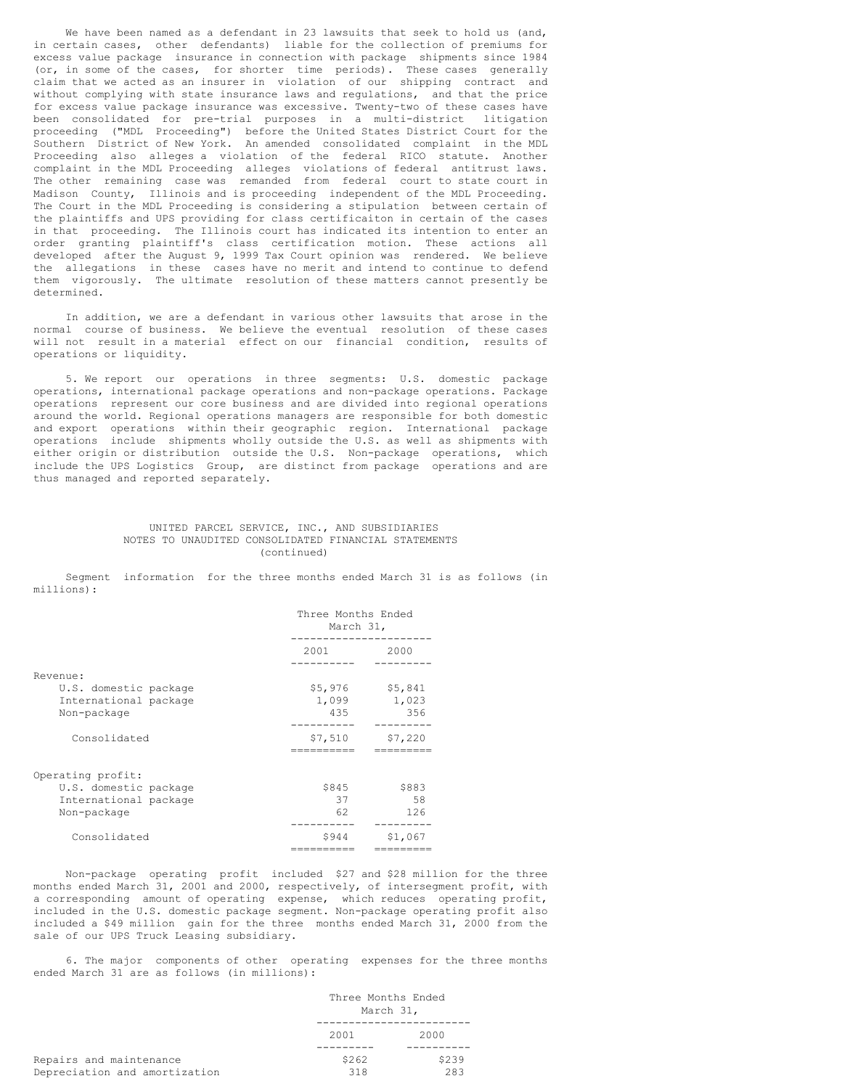We have been named as a defendant in 23 lawsuits that seek to hold us (and, in certain cases, other defendants) liable for the collection of premiums for excess value package insurance in connection with package shipments since 1984 (or, in some of the cases, for shorter time periods). These cases generally claim that we acted as an insurer in violation of our shipping contract and without complying with state insurance laws and regulations, and that the price for excess value package insurance was excessive. Twenty-two of these cases have been consolidated for pre-trial purposes in a multi-district litigation proceeding ("MDL Proceeding") before the United States District Court for the Southern District of New York. An amended consolidated complaint in the MDL Proceeding also alleges a violation of the federal RICO statute. Another complaint in the MDL Proceeding alleges violations of federal antitrust laws. The other remaining case was remanded from federal court to state court in Madison County, Illinois and is proceeding independent of the MDL Proceeding. The Court in the MDL Proceeding is considering a stipulation between certain of the plaintiffs and UPS providing for class certificaiton in certain of the cases in that proceeding. The Illinois court has indicated its intention to enter an order granting plaintiff's class certification motion. These actions all developed after the August 9, 1999 Tax Court opinion was rendered. We believe the allegations in these cases have no merit and intend to continue to defend them vigorously. The ultimate resolution of these matters cannot presently be determined.

In addition, we are a defendant in various other lawsuits that arose in the normal course of business. We believe the eventual resolution of these cases will not result in a material effect on our financial condition, results of operations or liquidity.

5. We report our operations in three segments: U.S. domestic package operations, international package operations and non-package operations. Package operations represent our core business and are divided into regional operations around the world. Regional operations managers are responsible for both domestic and export operations within their geographic region. International package operations include shipments wholly outside the U.S. as well as shipments with either origin or distribution outside the U.S. Non-package operations, which include the UPS Logistics Group, are distinct from package operations and are thus managed and reported separately.

### UNITED PARCEL SERVICE, INC., AND SUBSIDIARIES NOTES TO UNAUDITED CONSOLIDATED FINANCIAL STATEMENTS (continued)

Segment information for the three months ended March 31 is as follows (in millions):

|                                                               | Three Months Ended<br>March 31, |                         |  |
|---------------------------------------------------------------|---------------------------------|-------------------------|--|
|                                                               | 2001                            | 2000                    |  |
| Revenue:                                                      |                                 |                         |  |
| U.S. domestic package<br>International package<br>Non-package | \$5,976<br>1,099<br>435         | \$5,841<br>1,023<br>356 |  |
| Consolidated                                                  | \$7,510                         | \$7,220                 |  |
| Operating profit:                                             |                                 |                         |  |
| U.S. domestic package<br>International package<br>Non-package | \$845<br>37<br>62               | \$883<br>58<br>126      |  |
| Consolidated                                                  | \$944                           | \$1,067                 |  |

Non-package operating profit included \$27 and \$28 million for the three months ended March 31, 2001 and 2000, respectively, of intersegment profit, with a corresponding amount of operating expense, which reduces operating profit, included in the U.S. domestic package segment. Non-package operating profit also included a \$49 million gain for the three months ended March 31, 2000 from the sale of our UPS Truck Leasing subsidiary.

6. The major components of other operating expenses for the three months ended March 31 are as follows (in millions):

|                                                          | Three Months Ended<br>March 31, |              |  |
|----------------------------------------------------------|---------------------------------|--------------|--|
|                                                          | 2001                            | 2000         |  |
| Repairs and maintenance<br>Depreciation and amortization | \$262<br>318                    | \$239<br>283 |  |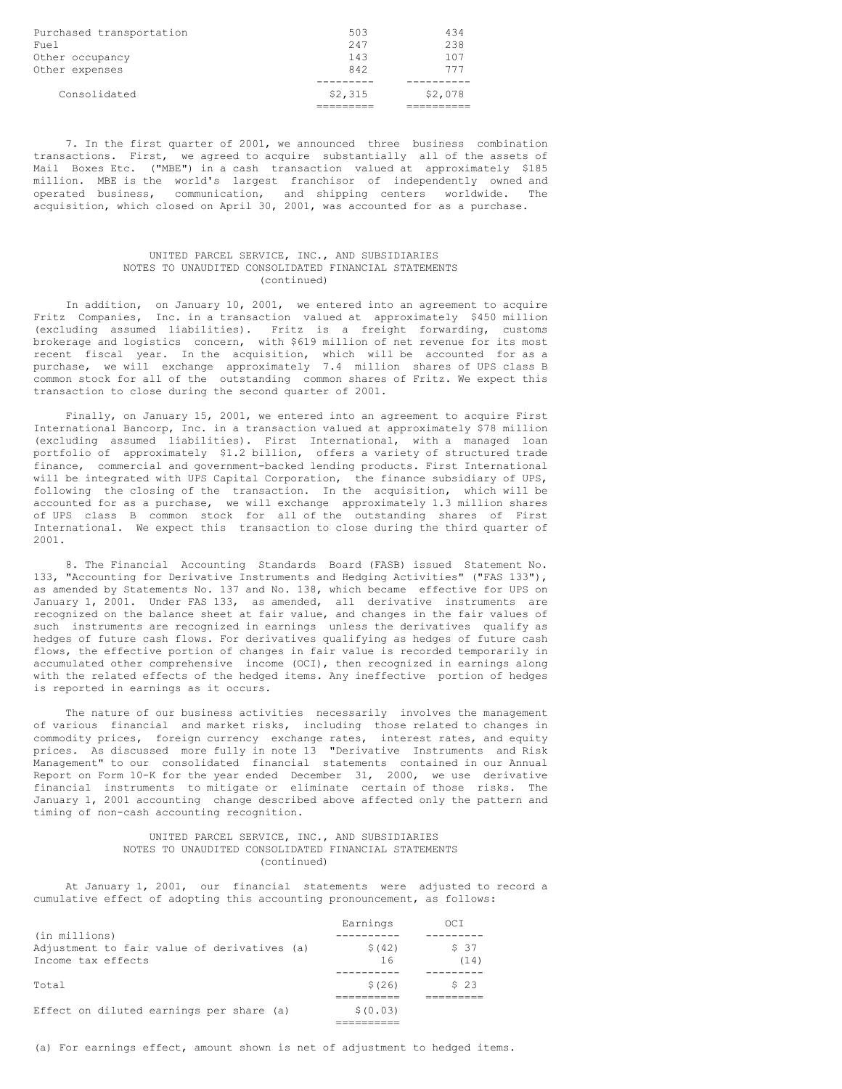| Purchased transportation<br>Fuel | 503<br>247 | 434<br>238 |
|----------------------------------|------------|------------|
| Other occupancy                  | 143        | 107        |
| Other expenses                   | 842        | 777        |
|                                  |            |            |
| Consolidated                     | \$2,315    | \$2,078    |
|                                  |            |            |

7. In the first quarter of 2001, we announced three business combination transactions. First, we agreed to acquire substantially all of the assets of Mail Boxes Etc. ("MBE") in a cash transaction valued at approximately \$185 million. MBE is the world's largest franchisor of independently owned and operated business, communication, and shipping centers worldwide. The acquisition, which closed on April 30, 2001, was accounted for as a purchase.

### UNITED PARCEL SERVICE, INC., AND SUBSIDIARIES NOTES TO UNAUDITED CONSOLIDATED FINANCIAL STATEMENTS (continued)

In addition, on January 10, 2001, we entered into an agreement to acquire Fritz Companies, Inc. in a transaction valued at approximately \$450 million (excluding assumed liabilities). Fritz is a freight forwarding, customs brokerage and logistics concern, with \$619 million of net revenue for its most recent fiscal year. In the acquisition, which will be accounted for as a purchase, we will exchange approximately 7.4 million shares of UPS class B common stock for all of the outstanding common shares of Fritz. We expect this transaction to close during the second quarter of 2001.

Finally, on January 15, 2001, we entered into an agreement to acquire First International Bancorp, Inc. in a transaction valued at approximately \$78 million (excluding assumed liabilities). First International, with a managed loan portfolio of approximately \$1.2 billion, offers a variety of structured trade finance, commercial and government-backed lending products. First International will be integrated with UPS Capital Corporation, the finance subsidiary of UPS, following the closing of the transaction. In the acquisition, which will be accounted for as a purchase, we will exchange approximately 1.3 million shares of UPS class B common stock for all of the outstanding shares of First International. We expect this transaction to close during the third quarter of 2001.

8. The Financial Accounting Standards Board (FASB) issued Statement No. 133, "Accounting for Derivative Instruments and Hedging Activities" ("FAS 133"), as amended by Statements No. 137 and No. 138, which became effective for UPS on January 1, 2001. Under FAS 133, as amended, all derivative instruments are recognized on the balance sheet at fair value, and changes in the fair values of such instruments are recognized in earnings unless the derivatives qualify as hedges of future cash flows. For derivatives qualifying as hedges of future cash flows, the effective portion of changes in fair value is recorded temporarily in accumulated other comprehensive income (OCI), then recognized in earnings along with the related effects of the hedged items. Any ineffective portion of hedges is reported in earnings as it occurs.

The nature of our business activities necessarily involves the management of various financial and market risks, including those related to changes in commodity prices, foreign currency exchange rates, interest rates, and equity prices. As discussed more fully in note 13 "Derivative Instruments and Risk Management" to our consolidated financial statements contained in our Annual Report on Form 10-K for the year ended December 31, 2000, we use derivative financial instruments to mitigate or eliminate certain of those risks. The January 1, 2001 accounting change described above affected only the pattern and timing of non-cash accounting recognition.

### UNITED PARCEL SERVICE, INC., AND SUBSIDIARIES NOTES TO UNAUDITED CONSOLIDATED FINANCIAL STATEMENTS (continued)

At January 1, 2001, our financial statements were adjusted to record a cumulative effect of adopting this accounting pronouncement, as follows:

|                                             | Earnings | OCI    |
|---------------------------------------------|----------|--------|
| (in millions)                               |          |        |
| Adjustment to fair value of derivatives (a) | \$(42)   | \$ 37  |
| Income tax effects                          | 16       | (14)   |
|                                             |          |        |
| Total                                       | \$(26)   | $S$ 23 |
|                                             |          |        |
| Effect on diluted earnings per share (a)    | \$(0.03) |        |
|                                             |          |        |

(a) For earnings effect, amount shown is net of adjustment to hedged items.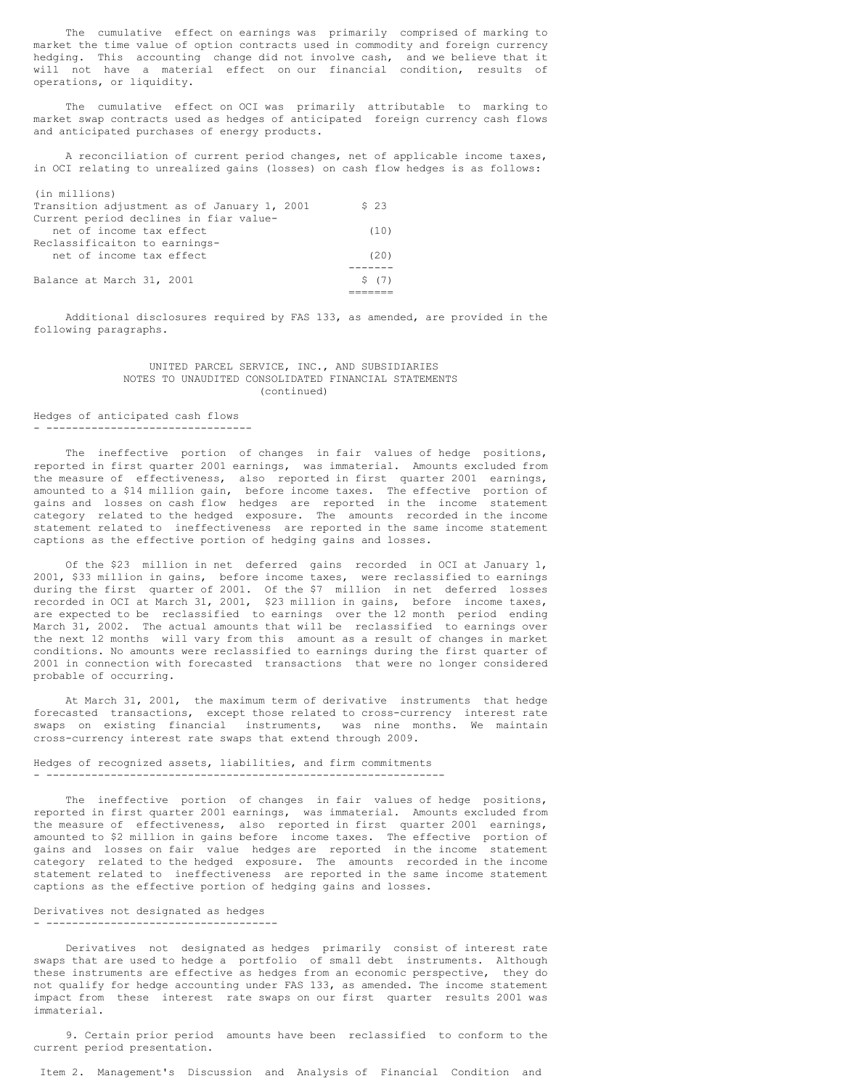The cumulative effect on earnings was primarily comprised of marking to market the time value of option contracts used in commodity and foreign currency hedging. This accounting change did not involve cash, and we believe that it will not have a material effect on our financial condition, results of operations, or liquidity.

The cumulative effect on OCI was primarily attributable to marking to market swap contracts used as hedges of anticipated foreign currency cash flows and anticipated purchases of energy products.

A reconciliation of current period changes, net of applicable income taxes, in OCI relating to unrealized gains (losses) on cash flow hedges is as follows:

| (in millions)                               |       |
|---------------------------------------------|-------|
| Transition adjustment as of January 1, 2001 | \$23  |
| Current period declines in fiar value-      |       |
| net of income tax effect                    | (10)  |
| Reclassificaiton to earnings-               |       |
| net of income tax effect                    | (2.0) |
|                                             |       |
| Balance at March 31, 2001                   | S (7) |
|                                             |       |

Additional disclosures required by FAS 133, as amended, are provided in the following paragraphs.

### UNITED PARCEL SERVICE, INC., AND SUBSIDIARIES NOTES TO UNAUDITED CONSOLIDATED FINANCIAL STATEMENTS (continued)

### Hedges of anticipated cash flows - --------------------------------

The ineffective portion of changes in fair values of hedge positions, reported in first quarter 2001 earnings, was immaterial. Amounts excluded from the measure of effectiveness, also reported in first quarter 2001 earnings, amounted to a \$14 million gain, before income taxes. The effective portion of gains and losses on cash flow hedges are reported in the income statement category related to the hedged exposure. The amounts recorded in the income statement related to ineffectiveness are reported in the same income statement captions as the effective portion of hedging gains and losses.

Of the \$23 million in net deferred gains recorded in OCI at January 1, 2001, \$33 million in gains, before income taxes, were reclassified to earnings during the first quarter of 2001. Of the \$7 million in net deferred losses recorded in OCI at March 31, 2001, \$23 million in gains, before income taxes, are expected to be reclassified to earnings over the 12 month period ending March 31, 2002. The actual amounts that will be reclassified to earnings over the next 12 months will vary from this amount as a result of changes in market conditions. No amounts were reclassified to earnings during the first quarter of 2001 in connection with forecasted transactions that were no longer considered probable of occurring.

At March 31, 2001, the maximum term of derivative instruments that hedge forecasted transactions, except those related to cross-currency interest rate swaps on existing financial instruments, was nine months. We maintain cross-currency interest rate swaps that extend through 2009.

### Hedges of recognized assets, liabilities, and firm commitments - --------------------------------------------------------------

The ineffective portion of changes in fair values of hedge positions, reported in first quarter 2001 earnings, was immaterial. Amounts excluded from the measure of effectiveness, also reported in first quarter 2001 earnings, amounted to \$2 million in gains before income taxes. The effective portion of gains and losses on fair value hedges are reported in the income statement category related to the hedged exposure. The amounts recorded in the income statement related to ineffectiveness are reported in the same income statement captions as the effective portion of hedging gains and losses.

#### Derivatives not designated as hedges - ------------------------------------

Derivatives not designated as hedges primarily consist of interest rate swaps that are used to hedge a portfolio of small debt instruments. Although these instruments are effective as hedges from an economic perspective, they do not qualify for hedge accounting under FAS 133, as amended. The income statement impact from these interest rate swaps on our first quarter results 2001 was immaterial.

9. Certain prior period amounts have been reclassified to conform to the current period presentation.

Item 2. Management's Discussion and Analysis of Financial Condition and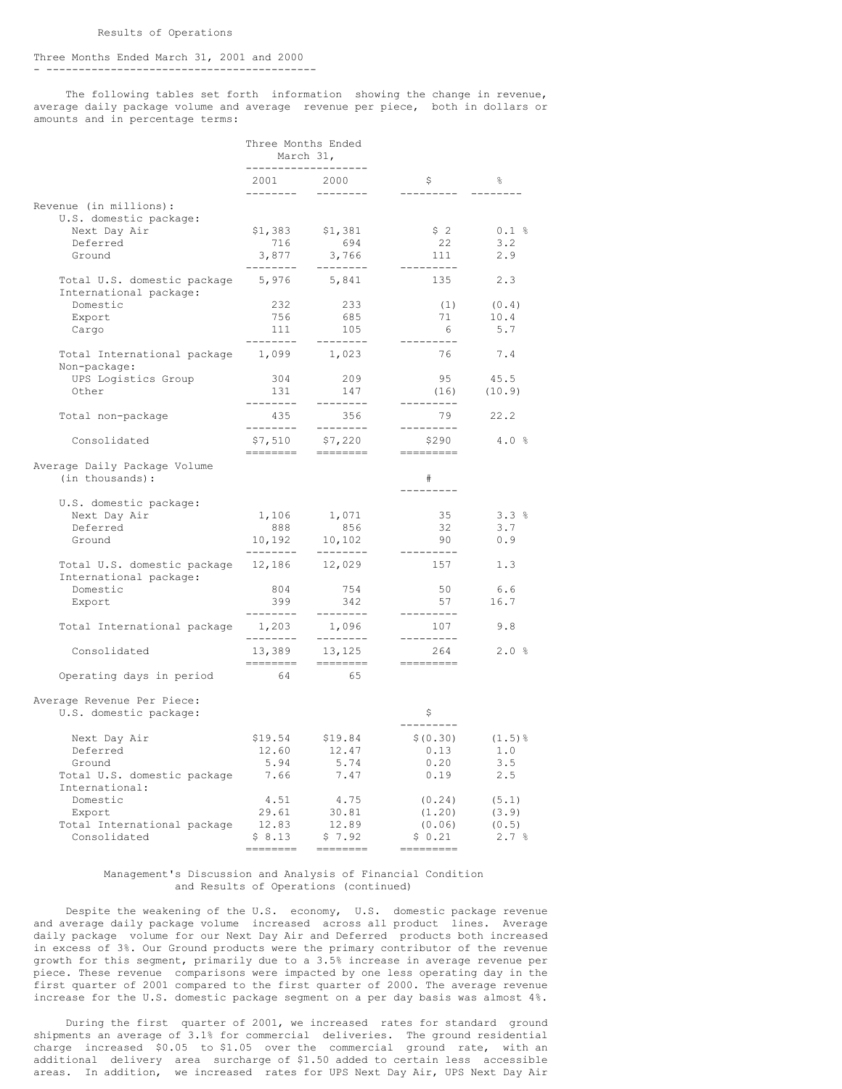#### Three Months Ended March 31, 2001 and 2000 - ------------------------------------------

The following tables set forth information showing the change in revenue, average daily package volume and average revenue per piece, both in dollars or amounts and in percentage terms:

|                                                             | Three Months Ended<br>March 31,<br>------------------- |                                      |                                |           |
|-------------------------------------------------------------|--------------------------------------------------------|--------------------------------------|--------------------------------|-----------|
|                                                             | ---------                                              | 2001 2000<br>$- - - - - - - -$       | - \$<br>---------              | 응<br>.    |
| Revenue (in millions):<br>U.S. domestic package:            |                                                        |                                      |                                |           |
| Next Day Air                                                | \$1,383                                                | \$1,381                              | \$2                            | 0.1%      |
| Deferred                                                    | 716                                                    | 694                                  | 22                             | 3.2       |
| Ground                                                      | 3,877<br>---------                                     | 3,766<br>---------                   | 111<br>---------               | 2.9       |
| Total U.S. domestic package 5,976<br>International package: |                                                        | 5,841                                | 135                            | 2.3       |
| Domestic                                                    | 232                                                    | 233                                  | (1)                            | (0.4)     |
| Export                                                      | 756                                                    | 685                                  | 71                             | 10.4      |
| Cargo                                                       | 111                                                    | 105                                  | 6                              | 5.7       |
| Total International package<br>Non-package:                 | ---------<br>1,099                                     | --------<br>1,023                    | ---------<br>76                | 7.4       |
| UPS Logistics Group                                         | 304                                                    | 209                                  | 95                             | 45.5      |
| Other                                                       | 131                                                    | 147                                  | (16)                           | (10.9)    |
| Total non-package                                           | ---------<br>435<br>--------                           | --------<br>356<br>$- - - - - - - -$ | ---------<br>79<br>----------  | 22.2      |
| Consolidated                                                | \$7,510<br>========                                    | \$7,220<br>---------                 | \$290<br>=========             | 4.0%      |
| Average Daily Package Volume<br>(in thousands):             |                                                        |                                      | #                              |           |
| U.S. domestic package:                                      |                                                        |                                      |                                |           |
| Next Day Air                                                |                                                        | 1,106 1,071                          | 35                             | 3.3%      |
| Deferred                                                    | 888                                                    | 856                                  | 32                             | 3.7       |
| Ground                                                      |                                                        | $10, 192$ $10, 102$                  | 90                             | 0.9       |
| Total U.S. domestic package<br>International package:       | --------<br>12,186                                     | ---------<br>12,029                  | ---------<br>157               | 1.3       |
| Domestic                                                    | 804                                                    | 754                                  | 50                             | 6.6       |
| Export                                                      | 399                                                    | 342                                  | 57                             | 16.7      |
| Total International package                                 | ---------<br>1,203<br>--------                         | ---------<br>1,096<br>---------      | ---------<br>107<br>---------- | 9.8       |
| Consolidated                                                | 13,389<br>========                                     | 13,125<br>========                   | 264<br>---------               | 2.0%      |
| Operating days in period                                    | 64                                                     | 65                                   |                                |           |
| Average Revenue Per Piece:<br>U.S. domestic package:        |                                                        |                                      | - \$<br>--------               |           |
| Next Day Air                                                | \$19.54                                                | \$19.84                              | \$ (0.30)                      | $(1.5)$ % |
| Deferred                                                    | 12.60                                                  | 12.47                                | 0.13                           | 1.0       |
| Ground                                                      | 5.94                                                   | 5.74                                 | 0.20                           | 3.5       |
| Total U.S. domestic package<br>International:               | 7.66                                                   | 7.47                                 | 0.19                           | 2.5       |
| Domestic                                                    | 4.51                                                   | 4.75                                 | (0.24)                         | (5.1)     |
| Export                                                      | 29.61                                                  | 30.81                                | (1.20)                         | (3.9)     |
| Total International package                                 | 12.83                                                  | 12.89                                | (0.06)                         | (0.5)     |
| Consolidated                                                | \$8.13<br>========                                     | \$7.92<br><b>EEEEEEE</b>             | \$0.21<br>----------           | 2.7%      |

#### Management's Discussion and Analysis of Financial Condition and Results of Operations (continued)

Despite the weakening of the U.S. economy, U.S. domestic package revenue and average daily package volume increased across all product lines. Average daily package volume for our Next Day Air and Deferred products both increased in excess of 3%. Our Ground products were the primary contributor of the revenue growth for this segment, primarily due to a 3.5% increase in average revenue per piece. These revenue comparisons were impacted by one less operating day in the first quarter of 2001 compared to the first quarter of 2000. The average revenue increase for the U.S. domestic package segment on a per day basis was almost 4%.

During the first quarter of 2001, we increased rates for standard ground shipments an average of 3.1% for commercial deliveries. The ground residential charge increased \$0.05 to \$1.05 over the commercial ground rate, with an additional delivery area surcharge of \$1.50 added to certain less accessible areas. In addition, we increased rates for UPS Next Day Air, UPS Next Day Air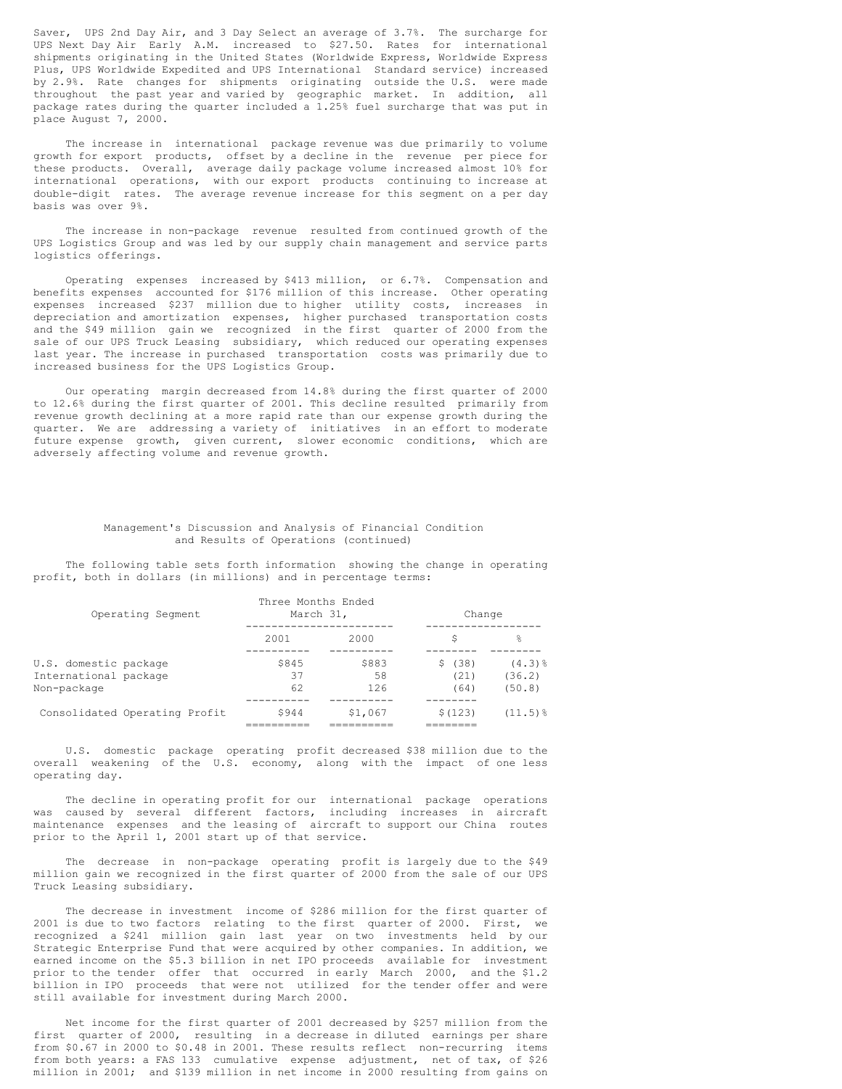Saver, UPS 2nd Day Air, and 3 Day Select an average of 3.7%. The surcharge for UPS Next Day Air Early A.M. increased to \$27.50. Rates for international shipments originating in the United States (Worldwide Express, Worldwide Express Plus, UPS Worldwide Expedited and UPS International Standard service) increased by 2.9%. Rate changes for shipments originating outside the U.S. were made throughout the past year and varied by geographic market. In addition, all package rates during the quarter included a 1.25% fuel surcharge that was put in place August 7, 2000.

The increase in international package revenue was due primarily to volume growth for export products, offset by a decline in the revenue per piece for these products. Overall, average daily package volume increased almost 10% for international operations, with our export products continuing to increase at double-digit rates. The average revenue increase for this segment on a per day basis was over 9%.

The increase in non-package revenue resulted from continued growth of the UPS Logistics Group and was led by our supply chain management and service parts logistics offerings.

Operating expenses increased by \$413 million, or 6.7%. Compensation and benefits expenses accounted for \$176 million of this increase. Other operating expenses increased \$237 million due to higher utility costs, increases in depreciation and amortization expenses, higher purchased transportation costs and the \$49 million gain we recognized in the first quarter of 2000 from the sale of our UPS Truck Leasing subsidiary, which reduced our operating expenses last year. The increase in purchased transportation costs was primarily due to increased business for the UPS Logistics Group.

Our operating margin decreased from 14.8% during the first quarter of 2000 to 12.6% during the first quarter of 2001. This decline resulted primarily from revenue growth declining at a more rapid rate than our expense growth during the quarter. We are addressing a variety of initiatives in an effort to moderate future expense growth, given current, slower economic conditions, which are adversely affecting volume and revenue growth.

### Management's Discussion and Analysis of Financial Condition and Results of Operations (continued)

The following table sets forth information showing the change in operating profit, both in dollars (in millions) and in percentage terms:

| Operating Segment                                             | Three Months Ended<br>March 31, |                    | Change                 |                                 |
|---------------------------------------------------------------|---------------------------------|--------------------|------------------------|---------------------------------|
|                                                               | 2001                            | 2000               | S                      | 옹                               |
| U.S. domestic package<br>International package<br>Non-package | \$845<br>37<br>62               | \$883<br>58<br>126 | \$(38)<br>(21)<br>(64) | $(4.3)$ $%$<br>(36.2)<br>(50.8) |
| Consolidated Operating Profit                                 | \$944                           | \$1,067            | \$(123)                | $(11.5)$ $\frac{8}{3}$          |

U.S. domestic package operating profit decreased \$38 million due to the overall weakening of the U.S. economy, along with the impact of one less operating day.

The decline in operating profit for our international package operations was caused by several different factors, including increases in aircraft maintenance expenses and the leasing of aircraft to support our China routes prior to the April 1, 2001 start up of that service.

The decrease in non-package operating profit is largely due to the \$49 million gain we recognized in the first quarter of 2000 from the sale of our UPS Truck Leasing subsidiary.

The decrease in investment income of \$286 million for the first quarter of 2001 is due to two factors relating to the first quarter of 2000. First, we recognized a \$241 million gain last year on two investments held by our Strategic Enterprise Fund that were acquired by other companies. In addition, we earned income on the \$5.3 billion in net IPO proceeds available for investment prior to the tender offer that occurred in early March 2000, and the \$1.2 billion in IPO proceeds that were not utilized for the tender offer and were still available for investment during March 2000.

Net income for the first quarter of 2001 decreased by \$257 million from the first quarter of 2000, resulting in a decrease in diluted earnings per share from \$0.67 in 2000 to \$0.48 in 2001. These results reflect non-recurring items from both years: a FAS 133 cumulative expense adjustment, net of tax, of \$26 million in 2001; and \$139 million in net income in 2000 resulting from gains on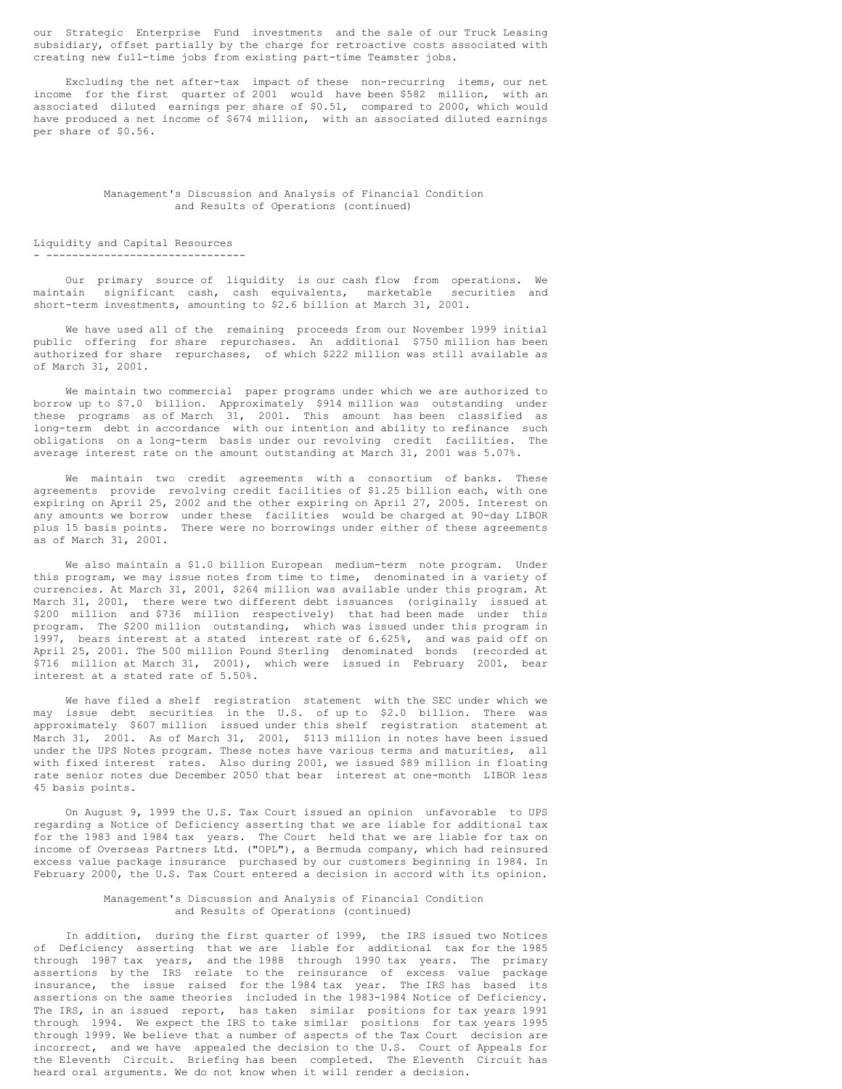our Strategic Enterprise Fund investments and the sale of our Truck Leasing subsidiary, offset partially by the charge for retroactive costs associated with creating new full-time jobs from existing part-time Teamster jobs.

Excluding the net after-tax impact of these non-recurring items, our net income for the first quarter of 2001 would have been \$582 million, with an associated diluted earnings per share of \$0.51, compared to 2000, which would have produced a net income of \$674 million, with an associated diluted earnings per share of \$0.56.

#### Management's Discussion and Analysis of Financial Condition and Results of Operations (continued)

### Liquidity and Capital Resources - -------------------------------

Our primary source of liquidity is our cash flow from operations. We maintain significant cash, cash equivalents, marketable securities and short-term investments, amounting to \$2.6 billion at March 31, 2001.

We have used all of the remaining proceeds from our November 1999 initial public offering for share repurchases. An additional \$750 million has been authorized for share repurchases, of which \$222 million was still available as of March 31, 2001.

We maintain two commercial paper programs under which we are authorized to borrow up to \$7.0 billion. Approximately \$914 million was outstanding under these programs as of March 31, 2001. This amount has been classified as long-term debt in accordance with our intention and ability to refinance such obligations on a long-term basis under our revolving credit facilities. The average interest rate on the amount outstanding at March 31, 2001 was 5.07%.

We maintain two credit agreements with a consortium of banks. These agreements provide revolving credit facilities of \$1.25 billion each, with one expiring on April 25, 2002 and the other expiring on April 27, 2005. Interest on any amounts we borrow under these facilities would be charged at 90-day LIBOR plus 15 basis points. There were no borrowings under either of these agreements as of March 31, 2001.

We also maintain a \$1.0 billion European medium-term note program. Under this program, we may issue notes from time to time, denominated in a variety of currencies. At March 31, 2001, \$264 million was available under this program. At March 31, 2001, there were two different debt issuances (originally issued at \$200 million and \$736 million respectively) that had been made under this program. The \$200 million outstanding, which was issued under this program in 1997, bears interest at a stated interest rate of 6.625%, and was paid off on April 25, 2001. The 500 million Pound Sterling denominated bonds (recorded at \$716 million at March 31, 2001), which were issued in February 2001, bear interest at a stated rate of 5.50%.

We have filed a shelf registration statement with the SEC under which we may issue debt securities in the U.S. of up to \$2.0 billion. There was approximately \$607 million issued under this shelf registration statement at March 31, 2001. As of March 31, 2001, \$113 million in notes have been issued under the UPS Notes program. These notes have various terms and maturities, all with fixed interest rates. Also during 2001, we issued \$89 million in floating rate senior notes due December 2050 that bear interest at one-month LIBOR less 45 basis points.

On August 9, 1999 the U.S. Tax Court issued an opinion unfavorable to UPS regarding a Notice of Deficiency asserting that we are liable for additional tax for the 1983 and 1984 tax years. The Court held that we are liable for tax on income of Overseas Partners Ltd. ("OPL"), a Bermuda company, which had reinsured excess value package insurance purchased by our customers beginning in 1984. In February 2000, the U.S. Tax Court entered a decision in accord with its opinion.

### Management's Discussion and Analysis of Financial Condition and Results of Operations (continued)

In addition, during the first quarter of 1999, the IRS issued two Notices of Deficiency asserting that we are liable for additional tax for the 1985 through 1987 tax years, and the 1988 through 1990 tax years. The primary assertions by the IRS relate to the reinsurance of excess value package insurance, the issue raised for the 1984 tax year. The IRS has based its assertions on the same theories included in the 1983-1984 Notice of Deficiency. The IRS, in an issued report, has taken similar positions for tax years 1991 through 1994. We expect the IRS to take similar positions for tax years 1995 through 1999. We believe that a number of aspects of the Tax Court decision are incorrect, and we have appealed the decision to the U.S. Court of Appeals for the Eleventh Circuit. Briefing has been completed. The Eleventh Circuit has heard oral arguments. We do not know when it will render a decision.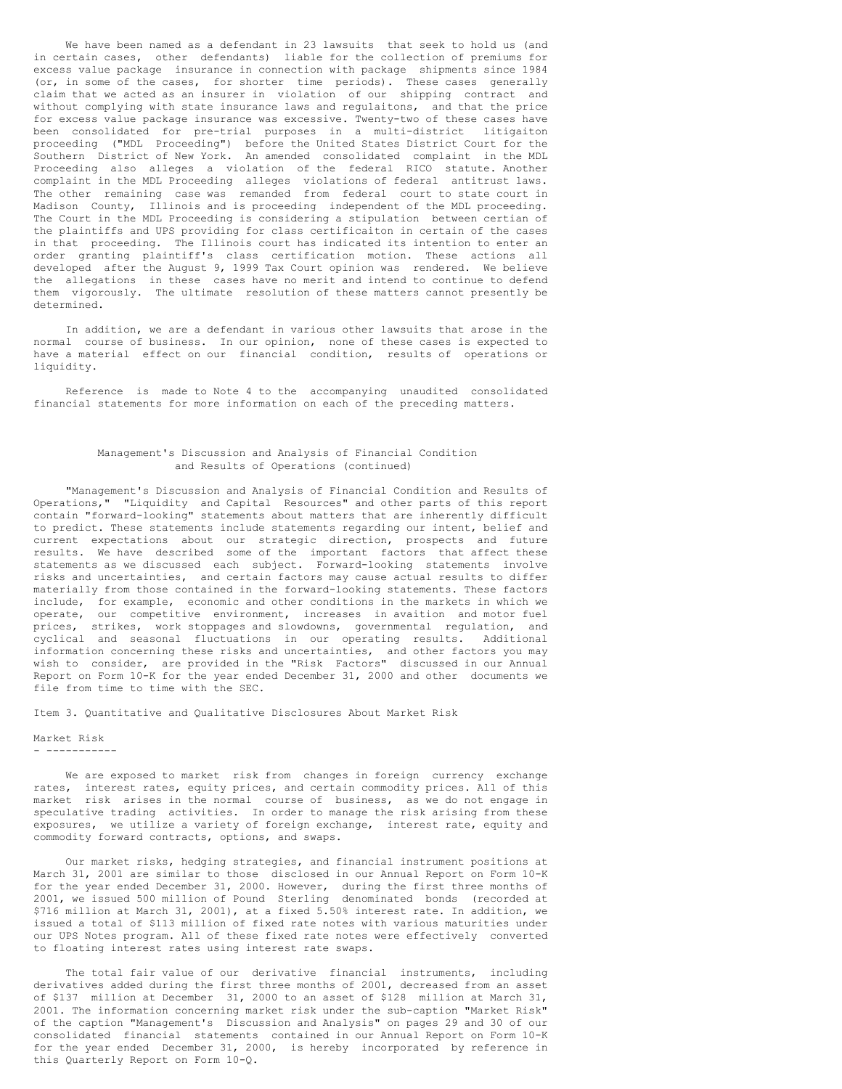We have been named as a defendant in 23 lawsuits that seek to hold us (and in certain cases, other defendants) liable for the collection of premiums for excess value package insurance in connection with package shipments since 1984 (or, in some of the cases, for shorter time periods). These cases generally claim that we acted as an insurer in violation of our shipping contract and without complying with state insurance laws and regulaitons, and that the price for excess value package insurance was excessive. Twenty-two of these cases have been consolidated for pre-trial purposes in a multi-district litigaiton proceeding ("MDL Proceeding") before the United States District Court for the Southern District of New York. An amended consolidated complaint in the MDL Proceeding also alleges a violation of the federal RICO statute. Another complaint in the MDL Proceeding alleges violations of federal antitrust laws. The other remaining case was remanded from federal court to state court in Madison County, Illinois and is proceeding independent of the MDL proceeding. The Court in the MDL Proceeding is considering a stipulation between certian of the plaintiffs and UPS providing for class certificaiton in certain of the cases in that proceeding. The Illinois court has indicated its intention to enter an order granting plaintiff's class certification motion. These actions all developed after the August 9, 1999 Tax Court opinion was rendered. We believe the allegations in these cases have no merit and intend to continue to defend them vigorously. The ultimate resolution of these matters cannot presently be determined.

In addition, we are a defendant in various other lawsuits that arose in the normal course of business. In our opinion, none of these cases is expected to have a material effect on our financial condition, results of operations or liquidity.

Reference is made to Note 4 to the accompanying unaudited consolidated financial statements for more information on each of the preceding matters.

### Management's Discussion and Analysis of Financial Condition and Results of Operations (continued)

"Management's Discussion and Analysis of Financial Condition and Results of Operations," "Liquidity and Capital Resources" and other parts of this report contain "forward-looking" statements about matters that are inherently difficult to predict. These statements include statements regarding our intent, belief and current expectations about our strategic direction, prospects and future results. We have described some of the important factors that affect these statements as we discussed each subject. Forward-looking statements involve risks and uncertainties, and certain factors may cause actual results to differ materially from those contained in the forward-looking statements. These factors include, for example, economic and other conditions in the markets in which we operate, our competitive environment, increases in avaition and motor fuel prices, strikes, work stoppages and slowdowns, governmental regulation, and cyclical and seasonal fluctuations in our operating results. Additional information concerning these risks and uncertainties, and other factors you may wish to consider, are provided in the "Risk Factors" discussed in our Annual Report on Form 10-K for the year ended December 31, 2000 and other documents we file from time to time with the SEC.

Item 3. Quantitative and Qualitative Disclosures About Market Risk

### Market Risk

- -----------

We are exposed to market risk from changes in foreign currency exchange rates, interest rates, equity prices, and certain commodity prices. All of this market risk arises in the normal course of business, as we do not engage in speculative trading activities. In order to manage the risk arising from these exposures, we utilize a variety of foreign exchange, interest rate, equity and commodity forward contracts, options, and swaps.

Our market risks, hedging strategies, and financial instrument positions at March 31, 2001 are similar to those disclosed in our Annual Report on Form 10-K for the year ended December 31, 2000. However, during the first three months of 2001, we issued 500 million of Pound Sterling denominated bonds (recorded at \$716 million at March 31, 2001), at a fixed 5.50% interest rate. In addition, we issued a total of \$113 million of fixed rate notes with various maturities under our UPS Notes program. All of these fixed rate notes were effectively converted to floating interest rates using interest rate swaps.

The total fair value of our derivative financial instruments, including derivatives added during the first three months of 2001, decreased from an asset of \$137 million at December 31, 2000 to an asset of \$128 million at March 31, 2001. The information concerning market risk under the sub-caption "Market Risk" of the caption "Management's Discussion and Analysis" on pages 29 and 30 of our consolidated financial statements contained in our Annual Report on Form 10-K for the year ended December 31, 2000, is hereby incorporated by reference in this Quarterly Report on Form 10-Q.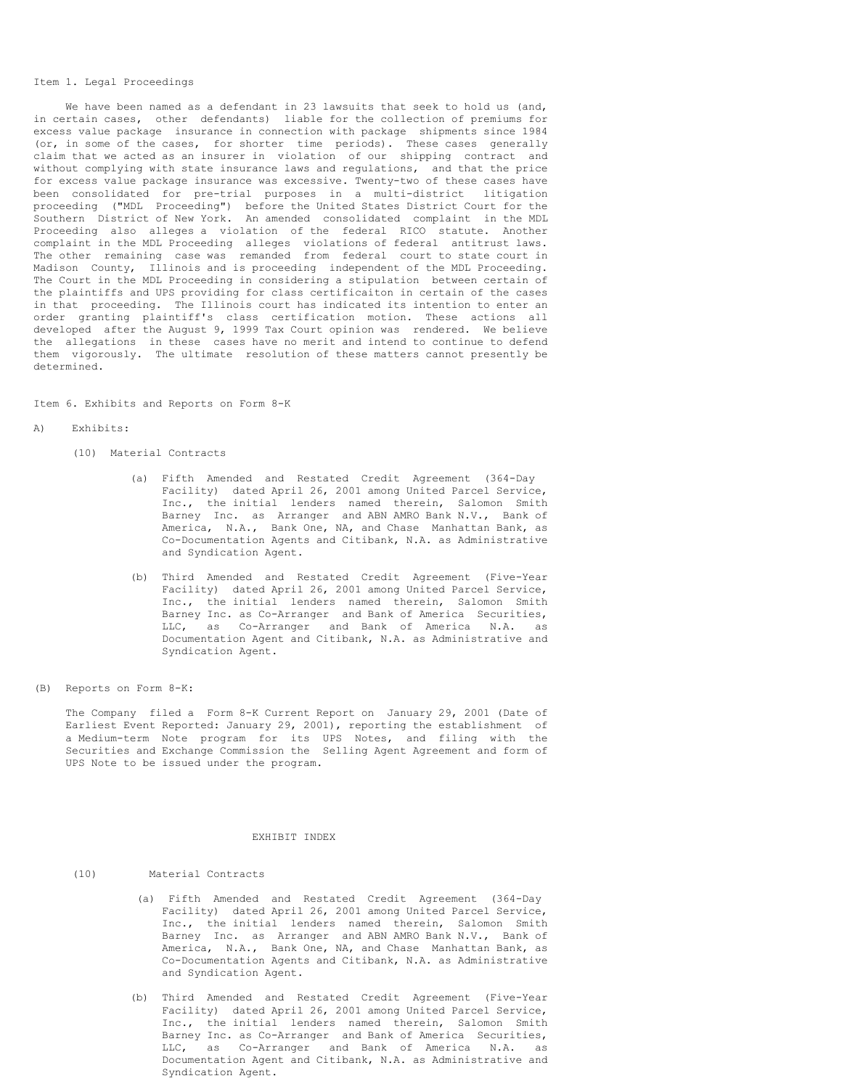#### Item 1. Legal Proceedings

We have been named as a defendant in 23 lawsuits that seek to hold us (and, in certain cases, other defendants) liable for the collection of premiums for excess value package insurance in connection with package shipments since 1984 (or, in some of the cases, for shorter time periods). These cases generally claim that we acted as an insurer in violation of our shipping contract and without complying with state insurance laws and regulations, and that the price for excess value package insurance was excessive. Twenty-two of these cases have been consolidated for pre-trial purposes in a multi-district litigation proceeding ("MDL Proceeding") before the United States District Court for the Southern District of New York. An amended consolidated complaint in the MDL Proceeding also alleges a violation of the federal RICO statute. Another complaint in the MDL Proceeding alleges violations of federal antitrust laws. The other remaining case was remanded from federal court to state court in Madison County, Illinois and is proceeding independent of the MDL Proceeding. The Court in the MDL Proceeding in considering a stipulation between certain of the plaintiffs and UPS providing for class certificaiton in certain of the cases in that proceeding. The Illinois court has indicated its intention to enter an order granting plaintiff's class certification motion. These actions all developed after the August 9, 1999 Tax Court opinion was rendered. We believe the allegations in these cases have no merit and intend to continue to defend them vigorously. The ultimate resolution of these matters cannot presently be determined.

Item 6. Exhibits and Reports on Form 8-K

#### A) Exhibits:

- (10) Material Contracts
	- (a) Fifth Amended and Restated Credit Agreement (364-Day Facility) dated April 26, 2001 among United Parcel Service, Inc., the initial lenders named therein, Salomon Smith Barney Inc. as Arranger and ABN AMRO Bank N.V., Bank of America, N.A., Bank One, NA, and Chase Manhattan Bank, as Co-Documentation Agents and Citibank, N.A. as Administrative and Syndication Agent.
	- (b) Third Amended and Restated Credit Agreement (Five-Year Facility) dated April 26, 2001 among United Parcel Service, Inc., the initial lenders named therein, Salomon Smith Barney Inc. as Co-Arranger and Bank of America Securities, LLC, as Co-Arranger and Bank of America N.A. as Documentation Agent and Citibank, N.A. as Administrative and Syndication Agent.
- (B) Reports on Form 8-K:

The Company filed a Form 8-K Current Report on January 29, 2001 (Date of Earliest Event Reported: January 29, 2001), reporting the establishment of a Medium-term Note program for its UPS Notes, and filing with the Securities and Exchange Commission the Selling Agent Agreement and form of UPS Note to be issued under the program.

#### EXHIBIT INDEX

- (10) Material Contracts
	- (a) Fifth Amended and Restated Credit Agreement (364-Day Facility) dated April 26, 2001 among United Parcel Service, Inc., the initial lenders named therein, Salomon Smith Barney Inc. as Arranger and ABN AMRO Bank N.V., Bank of America, N.A., Bank One, NA, and Chase Manhattan Bank, as Co-Documentation Agents and Citibank, N.A. as Administrative and Syndication Agent.
	- (b) Third Amended and Restated Credit Agreement (Five-Year Facility) dated April 26, 2001 among United Parcel Service, Inc., the initial lenders named therein, Salomon Smith Barney Inc. as Co-Arranger and Bank of America Securities, LLC, as Co-Arranger and Bank of America N.A. as Documentation Agent and Citibank, N.A. as Administrative and Syndication Agent.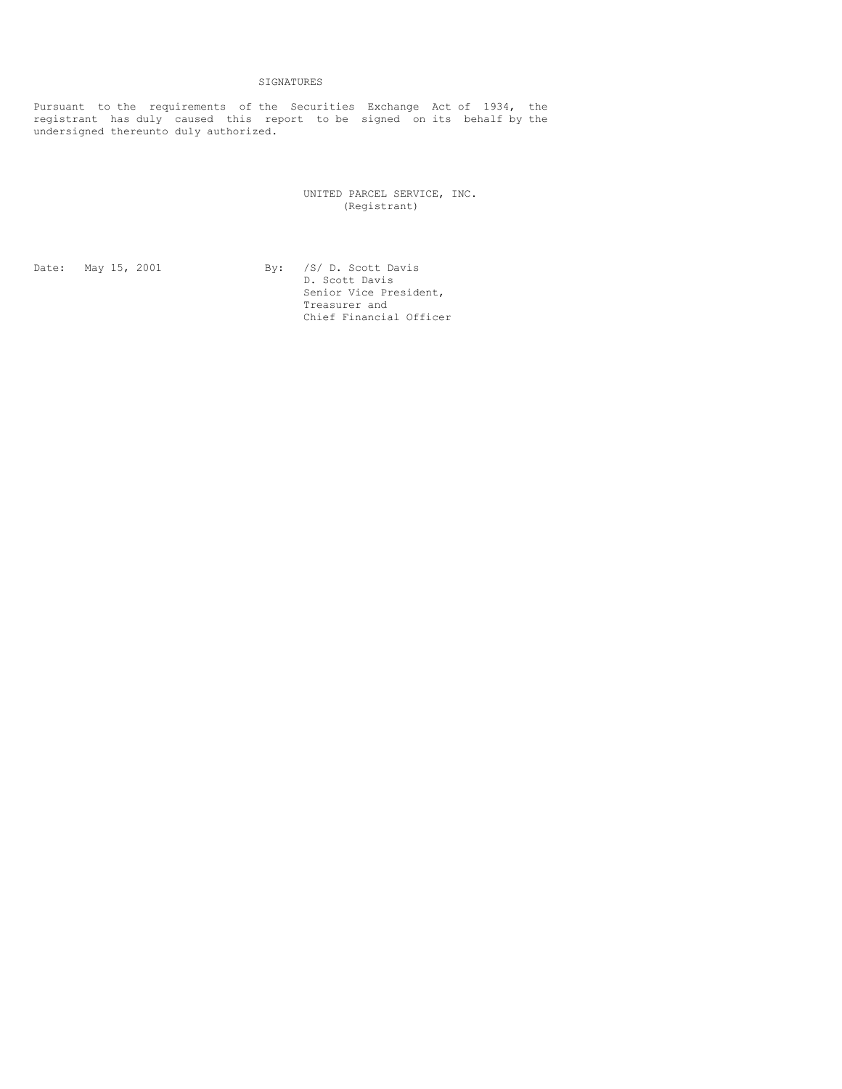# SIGNATURES

Pursuant to the requirements of the Securities Exchange Act of 1934, the registrant has duly caused this report to be signed on its behalf by the undersigned thereunto duly authorized.

> UNITED PARCEL SERVICE, INC. (Registrant)

Date: May 15, 2001 By: /S/ D. Scott Davis D. Scott Davis Senior Vice President, Treasurer and Chief Financial Officer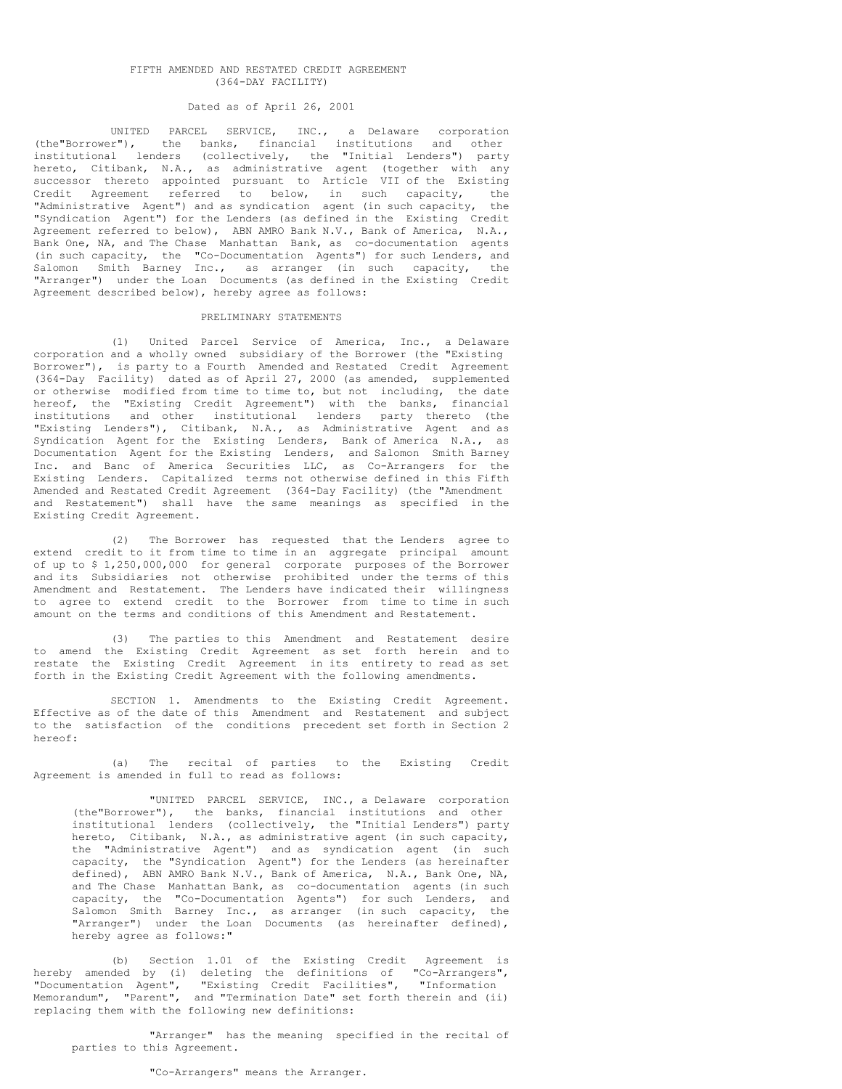### FIFTH AMENDED AND RESTATED CREDIT AGREEMENT (364-DAY FACILITY)

# Dated as of April 26, 2001

UNITED PARCEL SERVICE, INC., a Delaware corporation (the"Borrower"), the banks, financial institutions and other institutional lenders (collectively, the "Initial Lenders") party hereto, Citibank, N.A., as administrative agent (together with any successor thereto appointed pursuant to Article VII of the Existing Credit Agreement referred to below, in such capacity, the "Administrative Agent") and as syndication agent (in such capacity, the "Syndication Agent") for the Lenders (as defined in the Existing Credit Agreement referred to below), ABN AMRO Bank N.V., Bank of America, N.A., Bank One, NA, and The Chase Manhattan Bank, as co-documentation agents (in such capacity, the "Co-Documentation Agents") for such Lenders, and Salomon Smith Barney Inc., as arranger (in such capacity, the "Arranger") under the Loan Documents (as defined in the Existing Credit Agreement described below), hereby agree as follows:

#### PRELIMINARY STATEMENTS

(1) United Parcel Service of America, Inc., a Delaware corporation and a wholly owned subsidiary of the Borrower (the "Existing Borrower"), is party to a Fourth Amended and Restated Credit Agreement (364-Day Facility) dated as of April 27, 2000 (as amended, supplemented or otherwise modified from time to time to, but not including, the date hereof, the "Existing Credit Agreement") with the banks, financial institutions and other institutional lenders party thereto (the "Existing Lenders"), Citibank, N.A., as Administrative Agent and as Syndication Agent for the Existing Lenders, Bank of America N.A., as Documentation Agent for the Existing Lenders, and Salomon Smith Barney Inc. and Banc of America Securities LLC, as Co-Arrangers for the Existing Lenders. Capitalized terms not otherwise defined in this Fifth Amended and Restated Credit Agreement (364-Day Facility) (the "Amendment and Restatement") shall have the same meanings as specified in the Existing Credit Agreement.

(2) The Borrower has requested that the Lenders agree to extend credit to it from time to time in an aggregate principal amount of up to \$ 1,250,000,000 for general corporate purposes of the Borrower and its Subsidiaries not otherwise prohibited under the terms of this Amendment and Restatement. The Lenders have indicated their willingness to agree to extend credit to the Borrower from time to time in such amount on the terms and conditions of this Amendment and Restatement.

(3) The parties to this Amendment and Restatement desire to amend the Existing Credit Agreement as set forth herein and to restate the Existing Credit Agreement in its entirety to read as set forth in the Existing Credit Agreement with the following amendments.

SECTION 1. Amendments to the Existing Credit Agreement. Effective as of the date of this Amendment and Restatement and subject to the satisfaction of the conditions precedent set forth in Section 2 hereof:

(a) The recital of parties to the Existing Credit Agreement is amended in full to read as follows:

"UNITED PARCEL SERVICE, INC., a Delaware corporation (the"Borrower"), the banks, financial institutions and other institutional lenders (collectively, the "Initial Lenders") party hereto, Citibank, N.A., as administrative agent (in such capacity, the "Administrative Agent") and as syndication agent (in such capacity, the "Syndication Agent") for the Lenders (as hereinafter defined), ABN AMRO Bank N.V., Bank of America, N.A., Bank One, NA, and The Chase Manhattan Bank, as co-documentation agents (in such capacity, the "Co-Documentation Agents") for such Lenders, and Salomon Smith Barney Inc., as arranger (in such capacity, the "Arranger") under the Loan Documents (as hereinafter defined), hereby agree as follows:"

(b) Section 1.01 of the Existing Credit Agreement is hereby amended by (i) deleting the definitions of "Co-Arrangers", "Documentation Agent", "Existing Credit Facilities", "Information Memorandum", "Parent", and "Termination Date" set forth therein and (ii) replacing them with the following new definitions:

"Arranger" has the meaning specified in the recital of parties to this Agreement.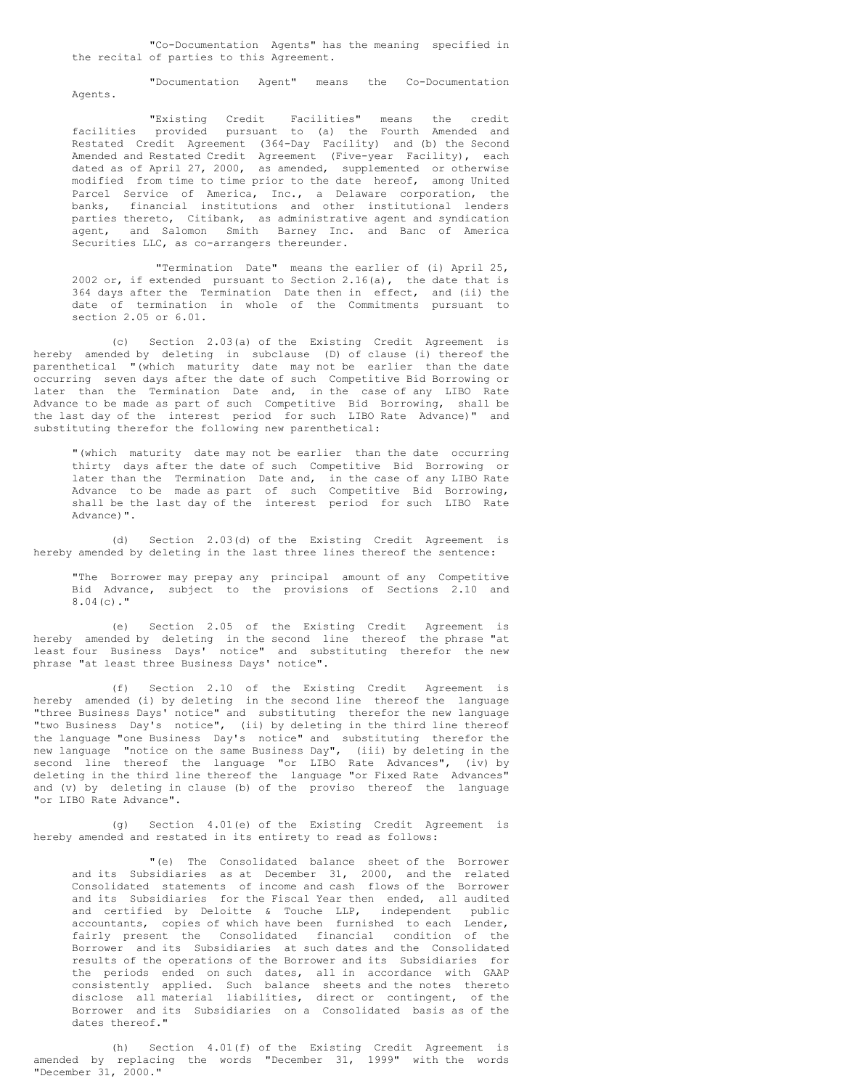"Co-Documentation Agents" has the meaning specified in the recital of parties to this Agreement.

"Documentation Agent" means the Co-Documentation Agents.

"Existing Credit Facilities" means the credit facilities provided pursuant to (a) the Fourth Amended and Restated Credit Agreement (364-Day Facility) and (b) the Second Amended and Restated Credit Agreement (Five-year Facility), each dated as of April 27, 2000, as amended, supplemented or otherwise modified from time to time prior to the date hereof, among United Parcel Service of America, Inc., a Delaware corporation, the banks, financial institutions and other institutional lenders parties thereto, Citibank, as administrative agent and syndication agent, and Salomon Smith Barney Inc. and Banc of America Securities LLC, as co-arrangers thereunder.

"Termination Date" means the earlier of (i) April 25, 2002 or, if extended pursuant to Section  $2.16(a)$ , the date that is 364 days after the Termination Date then in effect, and (ii) the date of termination in whole of the Commitments pursuant to section 2.05 or 6.01.

(c) Section 2.03(a) of the Existing Credit Agreement is hereby amended by deleting in subclause (D) of clause (i) thereof the parenthetical "(which maturity date may not be earlier than the date occurring seven days after the date of such Competitive Bid Borrowing or later than the Termination Date and, in the case of any LIBO Rate Advance to be made as part of such Competitive Bid Borrowing, shall be the last day of the interest period for such LIBO Rate Advance)" and substituting therefor the following new parenthetical:

"(which maturity date may not be earlier than the date occurring thirty days after the date of such Competitive Bid Borrowing or later than the Termination Date and, in the case of any LIBO Rate Advance to be made as part of such Competitive Bid Borrowing, shall be the last day of the interest period for such LIBO Rate Advance)".

(d) Section 2.03(d) of the Existing Credit Agreement is hereby amended by deleting in the last three lines thereof the sentence:

"The Borrower may prepay any principal amount of any Competitive Bid Advance, subject to the provisions of Sections 2.10 and 8.04(c)."

(e) Section 2.05 of the Existing Credit Agreement is hereby amended by deleting in the second line thereof the phrase "at least four Business Days' notice" and substituting therefor the new phrase "at least three Business Days' notice".

(f) Section 2.10 of the Existing Credit Agreement is hereby amended (i) by deleting in the second line thereof the language "three Business Days' notice" and substituting therefor the new language "two Business Day's notice", (ii) by deleting in the third line thereof the language "one Business Day's notice" and substituting therefor the new language "notice on the same Business Day", (iii) by deleting in the second line thereof the language "or LIBO Rate Advances", (iv) by deleting in the third line thereof the language "or Fixed Rate Advances" and (v) by deleting in clause (b) of the proviso thereof the language "or LIBO Rate Advance".

(g) Section 4.01(e) of the Existing Credit Agreement is hereby amended and restated in its entirety to read as follows:

"(e) The Consolidated balance sheet of the Borrower and its Subsidiaries as at December 31, 2000, and the related Consolidated statements of income and cash flows of the Borrower and its Subsidiaries for the Fiscal Year then ended, all audited and certified by Deloitte & Touche LLP, independent public accountants, copies of which have been furnished to each Lender, fairly present the Consolidated financial condition of the Borrower and its Subsidiaries at such dates and the Consolidated results of the operations of the Borrower and its Subsidiaries for the periods ended on such dates, all in accordance with GAAP consistently applied. Such balance sheets and the notes thereto disclose all material liabilities, direct or contingent, of the Borrower and its Subsidiaries on a Consolidated basis as of the dates thereof."

(h) Section 4.01(f) of the Existing Credit Agreement is amended by replacing the words "December 31, 1999" with the words "December 31, 2000."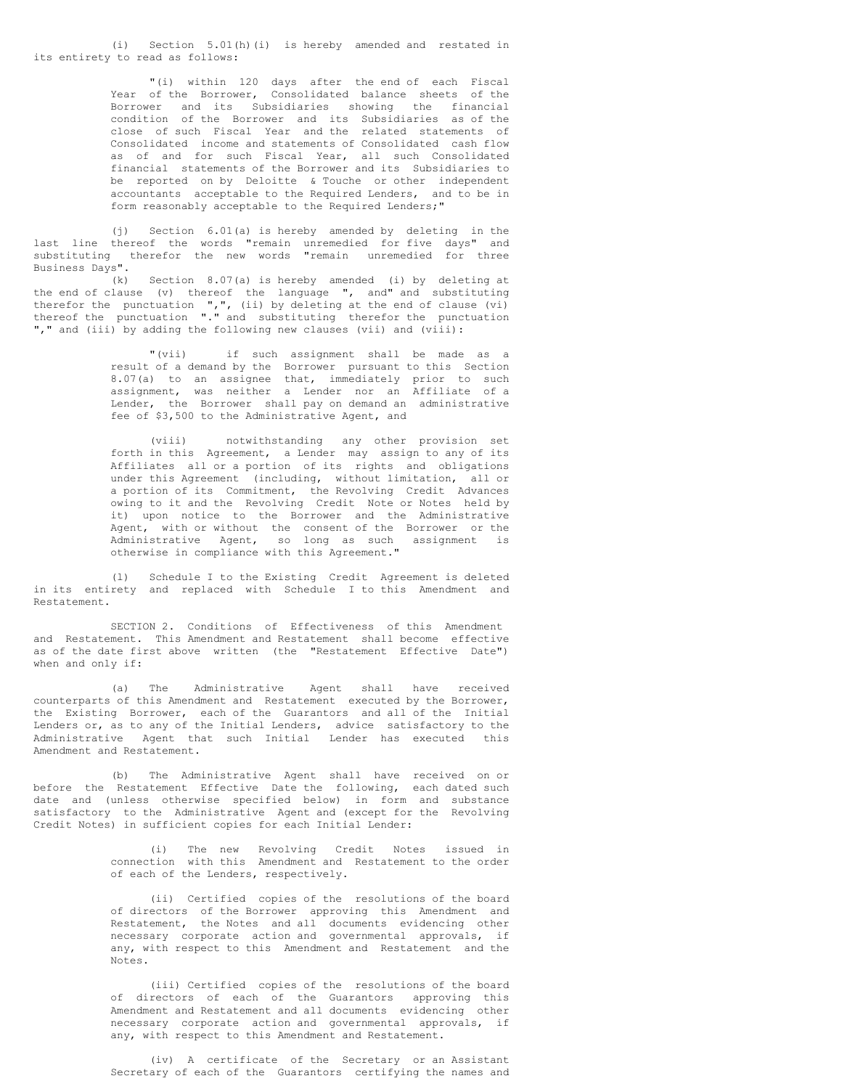(i) Section 5.01(h)(i) is hereby amended and restated in its entirety to read as follows:

> "(i) within 120 days after the end of each Fiscal Year of the Borrower, Consolidated balance sheets of the Borrower and its Subsidiaries showing the financial condition of the Borrower and its Subsidiaries as of the close of such Fiscal Year and the related statements of Consolidated income and statements of Consolidated cash flow as of and for such Fiscal Year, all such Consolidated financial statements of the Borrower and its Subsidiaries to be reported on by Deloitte & Touche or other independent accountants acceptable to the Required Lenders, and to be in form reasonably acceptable to the Required Lenders;"

(j) Section 6.01(a) is hereby amended by deleting in the last line thereof the words "remain unremedied for five days" and substituting therefor the new words "remain unremedied for three Business Days".

(k) Section 8.07(a) is hereby amended (i) by deleting at the end of clause (v) thereof the language ", and" and substituting therefor the punctuation  $",",$  (ii) by deleting at the end of clause (vi) thereof the punctuation "." and substituting therefor the punctuation "," and (iii) by adding the following new clauses (vii) and (viii):

> "(vii) if such assignment shall be made as a result of a demand by the Borrower pursuant to this Section 8.07(a) to an assignee that, immediately prior to such assignment, was neither a Lender nor an Affiliate of a Lender, the Borrower shall pay on demand an administrative fee of \$3,500 to the Administrative Agent, and

> (viii) notwithstanding any other provision set forth in this Agreement, a Lender may assign to any of its Affiliates all or a portion of its rights and obligations under this Agreement (including, without limitation, all or a portion of its Commitment, the Revolving Credit Advances owing to it and the Revolving Credit Note or Notes held by it) upon notice to the Borrower and the Administrative Agent, with or without the consent of the Borrower or the Administrative Agent, so long as such assignment is otherwise in compliance with this Agreement."

(l) Schedule I to the Existing Credit Agreement is deleted in its entirety and replaced with Schedule I to this Amendment and Restatement.

SECTION 2. Conditions of Effectiveness of this Amendment and Restatement. This Amendment and Restatement shall become effective as of the date first above written (the "Restatement Effective Date") when and only if:

(a) The Administrative Agent shall have received counterparts of this Amendment and Restatement executed by the Borrower, the Existing Borrower, each of the Guarantors and all of the Initial Lenders or, as to any of the Initial Lenders, advice satisfactory to the Administrative Agent that such Initial Lender has executed this Amendment and Restatement.

(b) The Administrative Agent shall have received on or before the Restatement Effective Date the following, each dated such date and (unless otherwise specified below) in form and substance satisfactory to the Administrative Agent and (except for the Revolving Credit Notes) in sufficient copies for each Initial Lender:

> (i) The new Revolving Credit Notes issued in connection with this Amendment and Restatement to the order of each of the Lenders, respectively.

> (ii) Certified copies of the resolutions of the board of directors of the Borrower approving this Amendment and Restatement, the Notes and all documents evidencing other necessary corporate action and governmental approvals, if any, with respect to this Amendment and Restatement and the Notes.

> (iii) Certified copies of the resolutions of the board of directors of each of the Guarantors approving this Amendment and Restatement and all documents evidencing other necessary corporate action and governmental approvals, if any, with respect to this Amendment and Restatement.

> (iv) A certificate of the Secretary or an Assistant Secretary of each of the Guarantors certifying the names and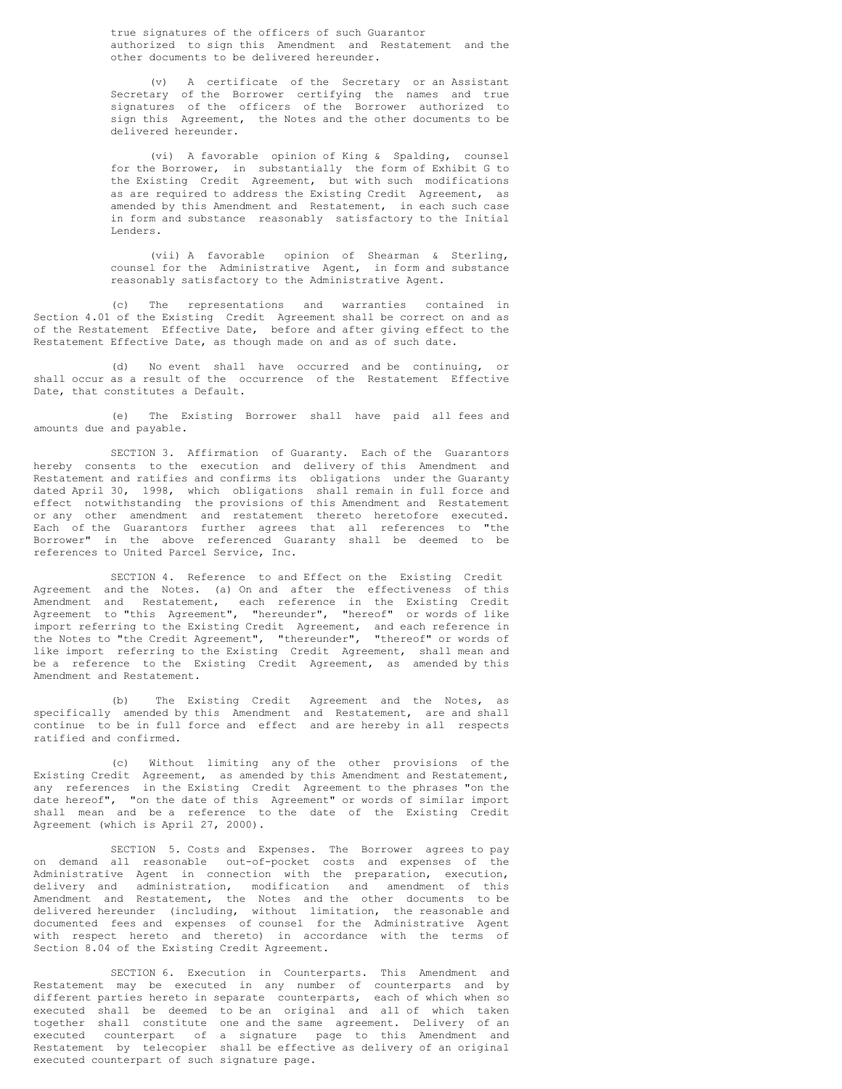true signatures of the officers of such Guarantor authorized to sign this Amendment and Restatement and the other documents to be delivered hereunder.

(v) A certificate of the Secretary or an Assistant Secretary of the Borrower certifying the names and true signatures of the officers of the Borrower authorized to sign this Agreement, the Notes and the other documents to be delivered hereunder.

(vi) A favorable opinion of King & Spalding, counsel for the Borrower, in substantially the form of Exhibit G to the Existing Credit Agreement, but with such modifications as are required to address the Existing Credit Agreement, as amended by this Amendment and Restatement, in each such case in form and substance reasonably satisfactory to the Initial Lenders.

(vii) A favorable opinion of Shearman & Sterling, counsel for the Administrative Agent, in form and substance reasonably satisfactory to the Administrative Agent.

(c) The representations and warranties contained in Section 4.01 of the Existing Credit Agreement shall be correct on and as of the Restatement Effective Date, before and after giving effect to the Restatement Effective Date, as though made on and as of such date.

(d) No event shall have occurred and be continuing, or shall occur as a result of the occurrence of the Restatement Effective Date, that constitutes a Default.

(e) The Existing Borrower shall have paid all fees and amounts due and payable.

SECTION 3. Affirmation of Guaranty. Each of the Guarantors hereby consents to the execution and delivery of this Amendment and Restatement and ratifies and confirms its obligations under the Guaranty dated April 30, 1998, which obligations shall remain in full force and effect notwithstanding the provisions of this Amendment and Restatement or any other amendment and restatement thereto heretofore executed. Each of the Guarantors further agrees that all references to "the Borrower" in the above referenced Guaranty shall be deemed to be references to United Parcel Service, Inc.

SECTION 4. Reference to and Effect on the Existing Credit Agreement and the Notes. (a) On and after the effectiveness of this Amendment and Restatement, each reference in the Existing Credit Agreement to "this Agreement", "hereunder", "hereof" or words of like import referring to the Existing Credit Agreement, and each reference in the Notes to "the Credit Agreement", "thereunder", "thereof" or words of like import referring to the Existing Credit Agreement, shall mean and be a reference to the Existing Credit Agreement, as amended by this Amendment and Restatement.

(b) The Existing Credit Agreement and the Notes, as specifically amended by this Amendment and Restatement, are and shall continue to be in full force and effect and are hereby in all respects ratified and confirmed.

(c) Without limiting any of the other provisions of the Existing Credit Agreement, as amended by this Amendment and Restatement, any references in the Existing Credit Agreement to the phrases "on the date hereof", "on the date of this Agreement" or words of similar import shall mean and be a reference to the date of the Existing Credit Agreement (which is April 27, 2000).

SECTION 5. Costs and Expenses. The Borrower agrees to pay on demand all reasonable out-of-pocket costs and expenses of the Administrative Agent in connection with the preparation, execution, delivery and administration, modification and amendment of this Amendment and Restatement, the Notes and the other documents to be delivered hereunder (including, without limitation, the reasonable and documented fees and expenses of counsel for the Administrative Agent with respect hereto and thereto) in accordance with the terms of Section 8.04 of the Existing Credit Agreement.

SECTION 6. Execution in Counterparts. This Amendment and Restatement may be executed in any number of counterparts and by different parties hereto in separate counterparts, each of which when so executed shall be deemed to be an original and all of which taken together shall constitute one and the same agreement. Delivery of an executed counterpart of a signature page to this Amendment and Restatement by telecopier shall be effective as delivery of an original executed counterpart of such signature page.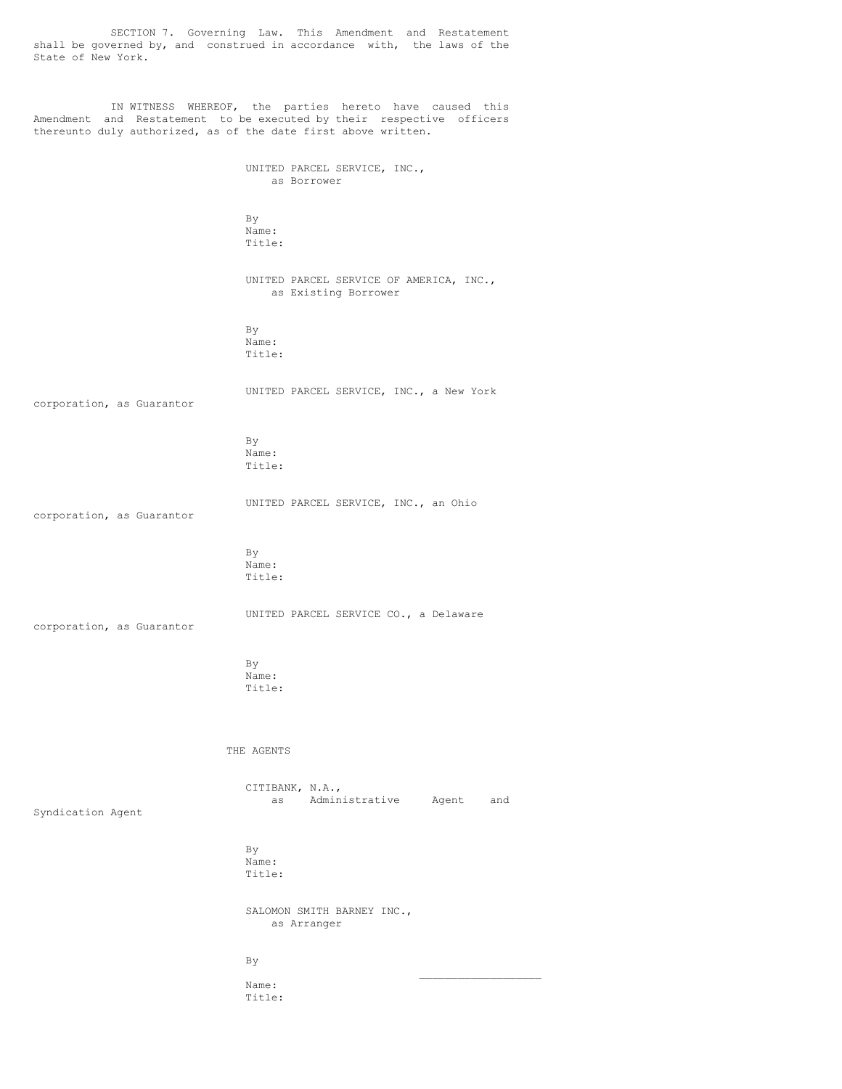SECTION 7. Governing Law. This Amendment and Restatement shall be governed by, and construed in accordance with, the laws of the State of New York.

IN WITNESS WHEREOF, the parties hereto have caused this Amendment and Restatement to be executed by their respective officers thereunto duly authorized, as of the date first above written.

> UNITED PARCEL SERVICE, INC., as Borrower

By Name: Title:

UNITED PARCEL SERVICE OF AMERICA, INC., as Existing Borrower

By Name: Title:

corporation, as Guarantor

UNITED PARCEL SERVICE, INC., a New York

By Name: Title:

UNITED PARCEL SERVICE, INC., an Ohio corporation, as Guarantor

> By Name: Title:

corporation, as Guarantor

UNITED PARCEL SERVICE CO., a Delaware

By Name: Title:

THE AGENTS

CITIBANK, N.A., as Administrative Agent and

 $\mathcal{L}_\text{max}$  , where  $\mathcal{L}_\text{max}$  , we have the set of the set of the set of the set of the set of the set of the set of the set of the set of the set of the set of the set of the set of the set of the set of the set of

Syndication Agent

By Name: Title:

SALOMON SMITH BARNEY INC., as Arranger

By

Name: Title: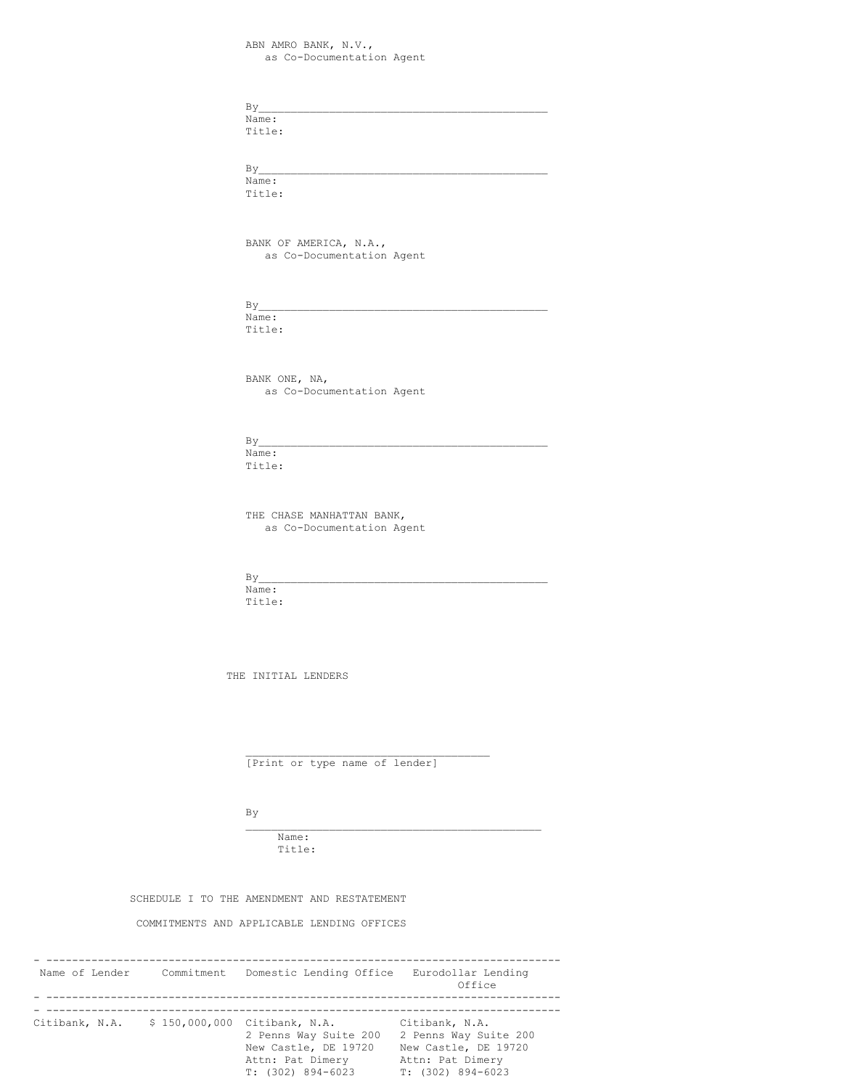ABN AMRO BANK, N.V., as Co-Documentation Agent

 $By$ 

Name: Title:

 $By$ 

Name: Title:

BANK OF AMERICA, N.A., as Co-Documentation Agent

 $By$ 

Name: Title:

BANK ONE, NA, as Co-Documentation Agent

 $By$ 

Name: Title:

THE CHASE MANHATTAN BANK, as Co-Documentation Agent

 $By$ 

Name: Title:

THE INITIAL LENDERS

[Print or type name of lender]

\_\_\_\_\_\_\_\_\_\_\_\_\_\_\_\_\_\_\_\_\_\_\_\_\_\_\_\_\_\_\_\_\_\_\_\_\_\_

\_\_\_\_\_\_\_\_\_\_\_\_\_\_\_\_\_\_\_\_\_\_\_\_\_\_\_\_\_\_\_\_\_\_\_\_\_\_\_\_\_\_\_\_\_\_

By

Name: Title:

SCHEDULE I TO THE AMENDMENT AND RESTATEMENT

COMMITMENTS AND APPLICABLE LENDING OFFICES

| Name of Lender | Commitment    | Domestic Lending Office                                                                                    | Eurodollar Lending<br>Office                                                                                 |
|----------------|---------------|------------------------------------------------------------------------------------------------------------|--------------------------------------------------------------------------------------------------------------|
| Citibank, N.A. | \$150,000,000 | Citibank, N.A.<br>2 Penns Way Suite 200<br>New Castle, DE 19720<br>Attn: Pat Dimery<br>$T: (302) 894-6023$ | Citibank, N.A.<br>2 Penns Way Suite 200<br>New Castle, DE 19720<br>Attn: Pat Dimery<br>$T: (302) 894 - 6023$ |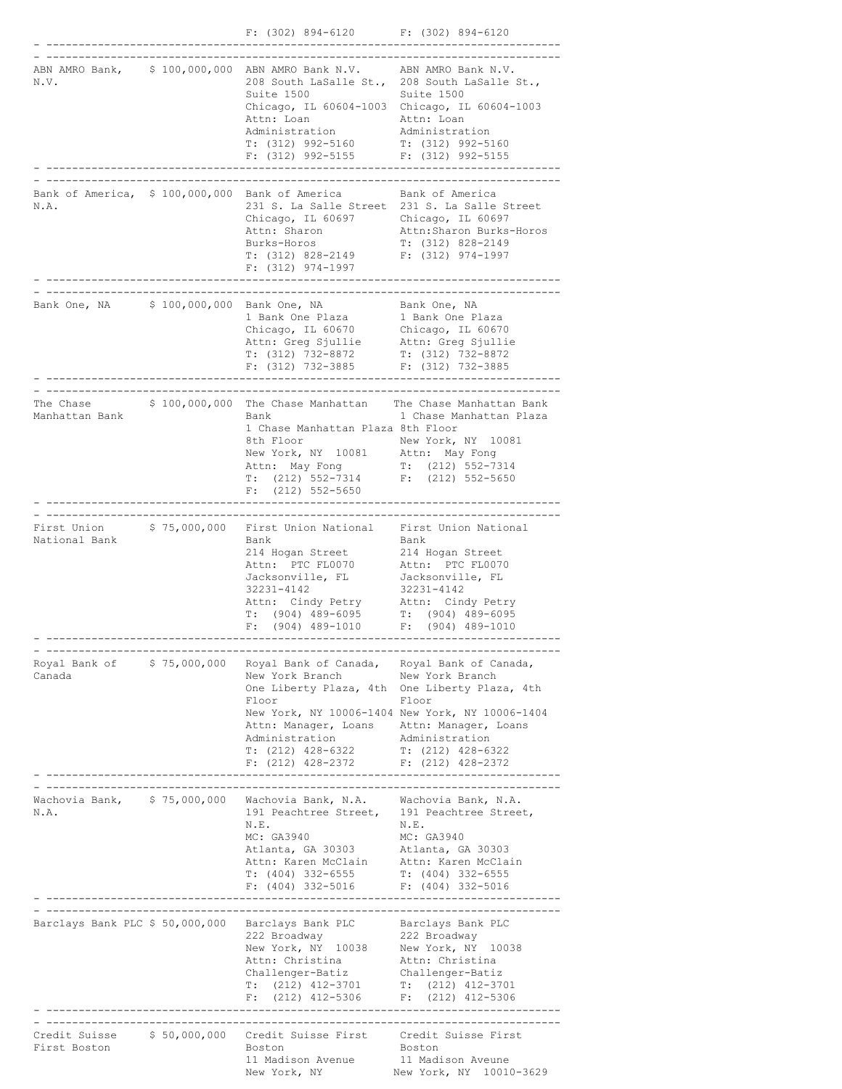|                                                             |              | $F: (302) 894-6120$ $F: (302) 894-6120$                                                                                                                                                                                                                            |                                                                                                                                                                     |
|-------------------------------------------------------------|--------------|--------------------------------------------------------------------------------------------------------------------------------------------------------------------------------------------------------------------------------------------------------------------|---------------------------------------------------------------------------------------------------------------------------------------------------------------------|
| N.V.                                                        |              | ABN AMRO Bank, \$100,000,000 ABN AMRO Bank N.V. ABN AMRO Bank N.V.<br>208 South LaSalle St., 208 South LaSalle St.,<br>Suite 1500<br>Chicago, IL 60604-1003 Chicago, IL 60604-1003<br>Attn: Loan<br>Administration<br>$T: (312) 992 - 5160$<br>$F: (312)$ 992-5155 | Suite 1500<br>Attn: Loan<br>Administration<br>T: (312) 992-5160<br>$F: (312) 992 - 5155$                                                                            |
| N.A.                                                        |              | Bank of America, \$100,000,000 Bank of America Bank of America<br>231 S. La Salle Street 231 S. La Salle Street<br>Chicago, IL 60697 Chicago, IL 60697<br>Attn: Sharon<br>Burks-Horos<br>T: (312) 828-2149<br>$F: (312)$ 974-1997                                  | Attn:Sharon Burks-Horos<br>T: (312) 828-2149<br>$F: (312)$ 974-1997                                                                                                 |
| Bank One, NA \$100,000,000 Bank One, NA                     |              | 1 Bank One Plaza<br>Chicago, IL 60670<br>Attn: Greg Sjullie Attn: Greg Sjullie<br>T: (312) 732-8872<br>F: (312) 732-3885 F: (312) 732-3885                                                                                                                         | Bank One, NA<br>1 Bank One Plaza<br>Chicago, IL 60670<br>T: (312) 732-8872                                                                                          |
| The Chase<br>Manhattan Bank                                 |              | Bank<br>1 Chase Manhattan Plaza 8th Floor<br>8th Floor<br>New York, NY 10081 Attn: May Fong<br>Attn: May Fong<br>$T: (212) 552 - 7314$<br>$F$ : (212) 552-5650                                                                                                     | \$ 100,000,000 The Chase Manhattan The Chase Manhattan Bank<br>1 Chase Manhattan Plaza<br>New York, NY 10081<br>$T: (212) 552 - 7314$<br>$F: (212) 552 - 5650$      |
| First Union<br>National Bank                                | \$75,000,000 | First Union National First Union National<br>Bank<br>214 Hogan Street<br>Attn: PTC FL0070 Attn: PTC FL0070<br>Jacksonville, FL<br>32231-4142<br>Attn: Cindy Petry<br>$T$ : (904) 489-6095 $T$ : (904) 489-6095<br>$F$ : (904) 489-1010                             | Bank<br>214 Hogan Street<br>Jacksonville, FL<br>32231-4142<br>Attn: Cindy Petry<br>F: (904) 489-1010                                                                |
| Canada                                                      |              | Royal Bank of \$75,000,000 Royal Bank of Canada, Royal Bank of Canada,<br>New York Branch<br>Floor<br>Attn: Manager, Loans Attn: Manager, Loans<br>Administration<br>$T: (212)$ 428-6322<br>$F: (212)$ 428-2372 $F: (212)$ 428-2372                                | New York Branch<br>One Liberty Plaza, 4th One Liberty Plaza, 4th<br>Floor<br>New York, NY 10006-1404 New York, NY 10006-1404<br>Administration<br>T: (212) 428-6322 |
| Wachovia Bank, \$75,000,000<br>N.A.                         |              | Wachovia Bank, N.A. Wachovia Bank, N.A.<br>191 Peachtree Street, 191 Peachtree Street,<br>N.E.<br>MC: GA3940<br>Atlanta, GA 30303<br>Attn: Karen McClain<br>T: (404) 332-6555<br>$F: (404)$ 332-5016 $F: (404)$ 332-5016                                           | N.E.<br>MC: GA3940<br>Atlanta, GA 30303<br>Attn: Karen McClain<br>T: (404) 332-6555                                                                                 |
| ------------------------<br>Barclays Bank PLC \$ 50,000,000 |              | Barclays Bank PLC<br>222 Broadway<br>New York, NY 10038<br>Attn: Christina<br>Challenger-Batiz<br>$T: (212)$ 412-3701<br>$F: (212)$ 412-5306                                                                                                                       | Barclays Bank PLC<br>222 Broadway<br>New York, NY 10038<br>Attn: Christina<br>Challenger-Batiz<br>T: (212) 412-3701<br>$F: (212)$ 412-5306                          |
| Credit Suisse<br>First Boston                               | \$50,000,000 | Credit Suisse First<br>Boston<br>11 Madison Avenue<br>New York, NY                                                                                                                                                                                                 | Credit Suisse First<br>Boston<br>11 Madison Aveune<br>New York, NY 10010-3629                                                                                       |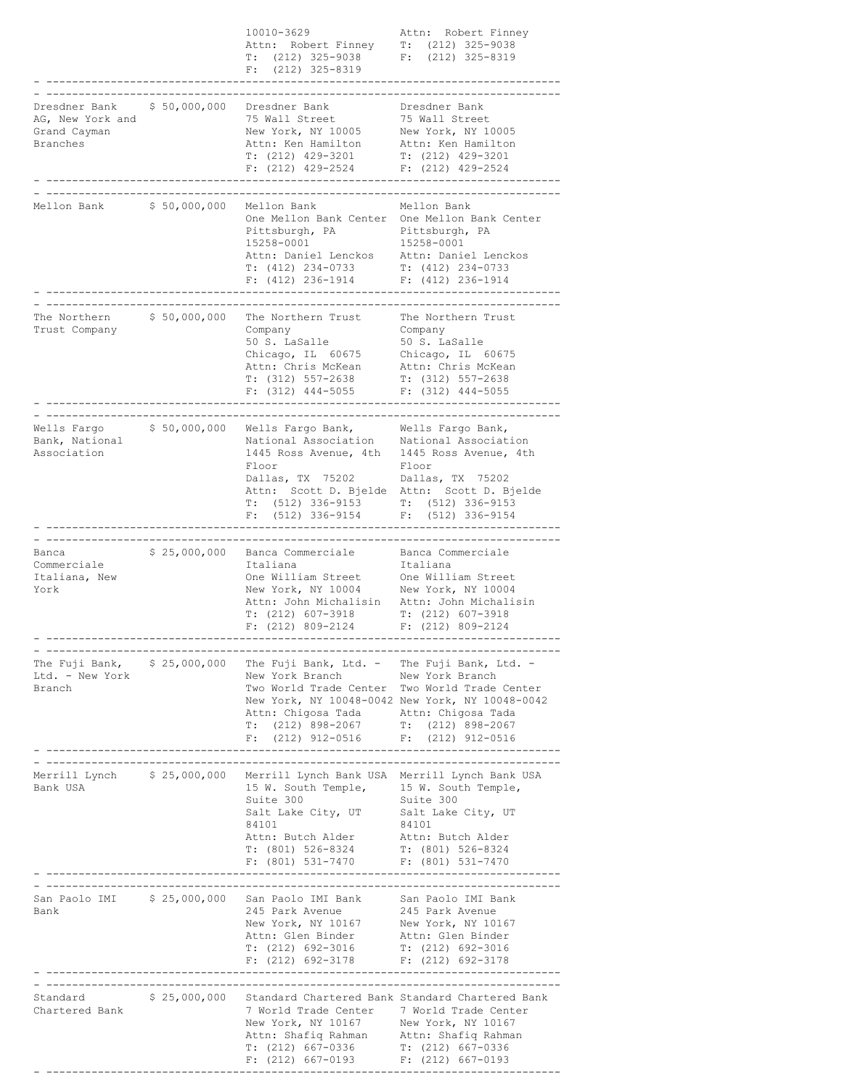|                                                                                    |               | 10010-3629<br>Attn: Robert Finney T: (212) 325-9038<br>T: $(212)$ 325-9038 F: $(212)$ 325-8319<br>$F: (212) 325 - 8319$                                                                                                                                                                                            | Attn: Robert Finney                                                                                                                       |
|------------------------------------------------------------------------------------|---------------|--------------------------------------------------------------------------------------------------------------------------------------------------------------------------------------------------------------------------------------------------------------------------------------------------------------------|-------------------------------------------------------------------------------------------------------------------------------------------|
| _________________<br>Dresdner Bank<br>AG, New York and<br>Grand Cayman<br>Branches | \$50,000,000  | Dresdner Bank<br>75 Wall Street<br>New York, NY 10005<br>Attn: Ken Hamilton<br>$\begin{tabular}{lllllllllll} $\mathbb{T}$: & $(212)$ & $429$--3201$ & $\mathbb{T}$: & $(212)$ & $429$--3201$ \\ $\mathbb{F}$: & $(212)$ & $429$--2524$ & $\mathbb{F}$: & $(212)$ & $429$--2524$ \end{tabular}$                     | Dresdner Bank<br>75 Wall Street<br>New York, NY 10005<br>Attn: Ken Hamilton                                                               |
| Mellon Bank \$ 50,000,000                                                          |               | Mellon Bank<br>One Mellon Bank Center One Mellon Bank Center<br>Pittsburgh, PA<br>15258-0001<br>15258-0001<br>Attn: Daniel Lenckos Attn: Daniel Lenckos T: (412) 234-0733 T: (412) 234-0733<br>$F: (412) 236-1914$ $F: (412) 236-1914$                                                                             | Mellon Bank<br>Pittsburgh, PA<br>15258-0001                                                                                               |
| The Northern<br>Trust Company                                                      | \$ 50,000,000 | The Northern Trust<br>Company<br>50 S. LaSalle<br>Chicago, IL 60675<br>Attn: Chris McKean<br>$T: (312) 557 - 2638$<br>$F: (312)$ 444-5055                                                                                                                                                                          | The Northern Trust<br>Company<br>50 S. LaSalle<br>Chicago, IL 60675<br>Attn: Chris McKean<br>$T: (312) 557-2638$<br>$F: (312)$ 444-5055   |
| Wells Fargo<br>Bank, National<br>Association                                       | \$50,000,000  | Wells Fargo Bank, Wells Fargo Bank,<br>National Association Mational Association<br>1445 Ross Avenue, 4th 1445 Ross Avenue, 4th<br>Floor<br>Dallas, TX 75202<br>Attn: Scott D. Bjelde Attn: Scott D. Bjelde<br>T: (512) 336-9153 T: (512) 336-9153<br>F: (512) 336-9154 F: (512) 336-9154<br>$F: (512) 336 - 9154$ | Floor<br>Dallas, TX 75202<br>$F: (512) 336 - 9154$                                                                                        |
| Banca<br>Commerciale<br>Italiana, New<br>York                                      |               | \$ 25,000,000 Banca Commerciale<br>Italiana<br>One William Street<br>One William Street One William Street<br>New York, NY 10004 New York, NY 10004<br>Attn: John Michalisin<br>T: (212) 607-3918<br>$F: (212) 809 - 2124$                                                                                         | Banca Commerciale<br>Italiana<br>One William Street<br>Attn: John Michalisin<br>$T: (212)$ 607-3918<br>$F: (212) 809 - 2124$              |
| The Fuji Bank, $\frac{1}{2}$ \$ 25,000,000<br>Ltd. - New York<br>Branch            |               | The Fuji Bank, Ltd. - The Fuji Bank, Ltd. -<br>New York Branch<br>Two World Trade Center Two World Trade Center<br>Attn: Chigosa Tada<br>T: (212) 898-2067 T: (212) 898-2067<br>F: (212) 912-0516 F: (212) 912-0516                                                                                                | New York Branch<br>New York, NY 10048-0042 New York, NY 10048-0042<br>Attn: Chigosa Tada                                                  |
| Merrill Lynch \$ 25,000,000<br>Bank USA                                            |               | Merrill Lynch Bank USA Merrill Lynch Bank USA<br>15 W. South Temple, 15 W. South Temple,<br>Suite 300<br>Salt Lake City, UT<br>84101<br>Attn: Butch Alder<br>T: $(801)$ 526-8324<br>F: $(801)$ 531-7470<br>F: $(801)$ 531-7470<br>F: $(801)$ 531-7470                                                              | Suite 300<br>Salt Lake City, UT<br>84101<br>Attn: Butch Alder                                                                             |
| San Paolo IMI \$ 25,000,000<br>Bank                                                |               | San Paolo IMI Bank<br>245 Park Avenue<br>New York, NY 10167<br>Attn: Glen Binder<br>T: (212) 692-3016<br>$F: (212) 692-3178$ $F: (212) 692-3178$                                                                                                                                                                   | --------------------------------<br>San Paolo IMI Bank<br>245 Park Avenue<br>New York, NY 10167<br>Attn: Glen Binder<br>T: (212) 692-3016 |
| -----------------------------------<br>Standard<br>Chartered Bank                  | \$25,000,000  | 7 World Trade Center 7 World Trade Center<br>New York, NY 10167 New York, NY 10167<br>Attn: Shafiq Rahman Attn: Shafiq Rahman<br>T: (212) 667-0336<br>F: (212) 667-0193<br>F: (212) 667-0193<br>F: (212) 667-0193                                                                                                  | --------------------<br>Standard Chartered Bank Standard Chartered Bank                                                                   |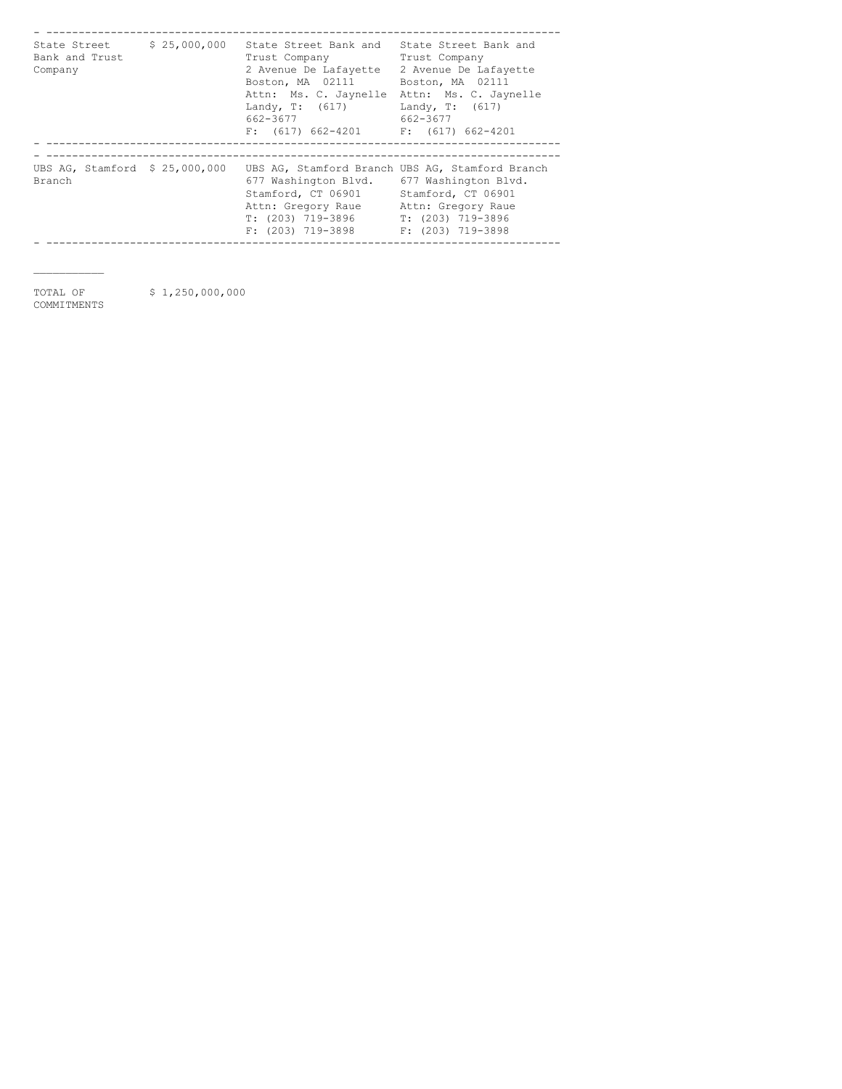| State Street<br>Bank and Trust<br>Company | \$25,000,000 | State Street Bank and<br>Trust Company<br>2 Avenue De Lafayette<br>Boston, MA 02111<br>Attn: Ms. C. Jaynelle<br>Landy, $T: (617)$<br>662-3677<br>$F: (617) 662-4201$ $F: (617) 662-4201$ | State Street Bank and<br>Trust Company<br>2 Avenue De Lafayette<br>Boston, MA 02111<br>Attn: Ms. C. Jaynelle<br>Landy, $T: (617)$<br>662-3677 |
|-------------------------------------------|--------------|------------------------------------------------------------------------------------------------------------------------------------------------------------------------------------------|-----------------------------------------------------------------------------------------------------------------------------------------------|
|                                           |              |                                                                                                                                                                                          |                                                                                                                                               |
| UBS AG, Stamford \$ 25,000,000<br>Branch  |              | UBS AG, Stamford Branch UBS AG, Stamford Branch<br>677 Washington Blvd.<br>Stamford, CT 06901<br>Attn: Gregory Raue<br>T: (203) 719-3896<br>F: (203) 719-3898                            | 677 Washington Blvd.<br>Stamford, CT 06901<br>Attn: Gregory Raue<br>$T: (203) 719 - 3896$<br>$F: (203)$ 719-3898                              |

 $\mathcal{L}_\text{max}$ 

TOTAL OF \$1,250,000,000

COMMITMENTS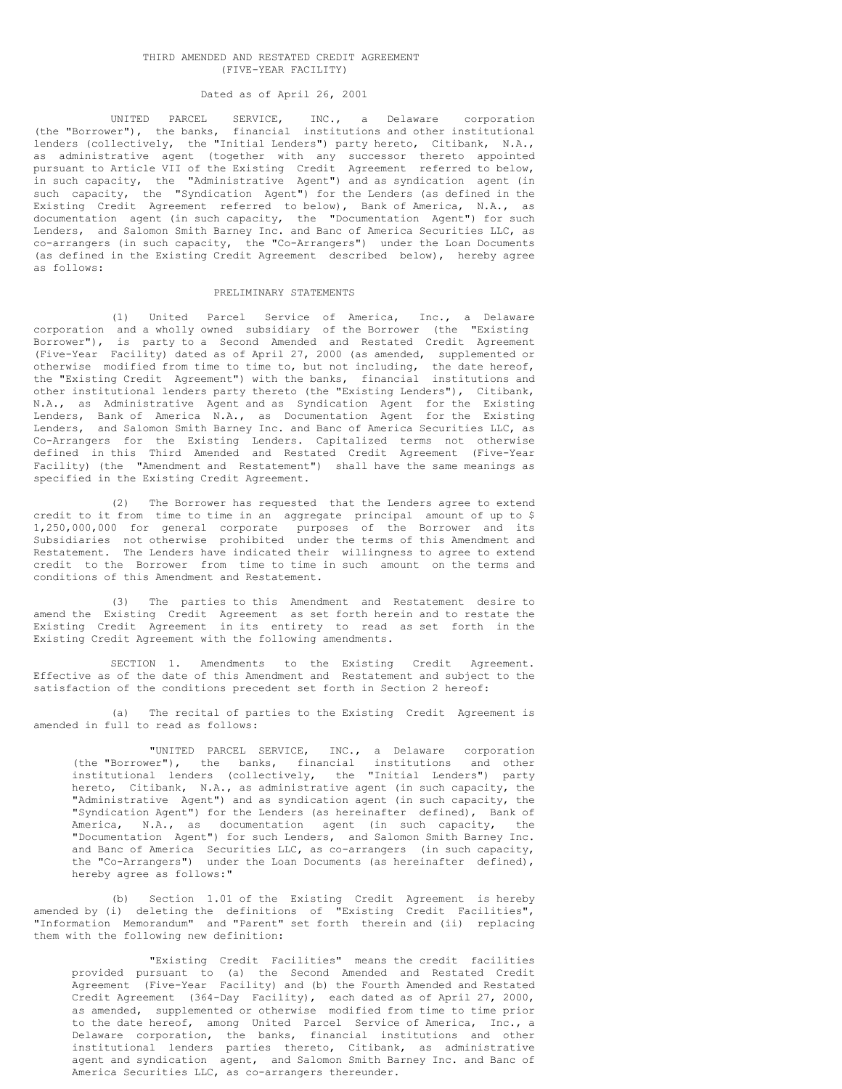#### THIRD AMENDED AND RESTATED CREDIT AGREEMENT (FIVE-YEAR FACILITY)

### Dated as of April 26, 2001

UNITED PARCEL SERVICE, INC., a Delaware corporation (the "Borrower"), the banks, financial institutions and other institutional lenders (collectively, the "Initial Lenders") party hereto, Citibank, N.A., as administrative agent (together with any successor thereto appointed pursuant to Article VII of the Existing Credit Agreement referred to below, in such capacity, the "Administrative Agent") and as syndication agent (in such capacity, the "Syndication Agent") for the Lenders (as defined in the Existing Credit Agreement referred to below), Bank of America, N.A., as documentation agent (in such capacity, the "Documentation Agent") for such Lenders, and Salomon Smith Barney Inc. and Banc of America Securities LLC, as co-arrangers (in such capacity, the "Co-Arrangers") under the Loan Documents (as defined in the Existing Credit Agreement described below), hereby agree as follows:

#### PRELIMINARY STATEMENTS

(1) United Parcel Service of America, Inc., a Delaware corporation and a wholly owned subsidiary of the Borrower (the "Existing Borrower"), is party to a Second Amended and Restated Credit Agreement (Five-Year Facility) dated as of April 27, 2000 (as amended, supplemented or otherwise modified from time to time to, but not including, the date hereof, the "Existing Credit Agreement") with the banks, financial institutions and other institutional lenders party thereto (the "Existing Lenders"), Citibank, N.A., as Administrative Agent and as Syndication Agent for the Existing Lenders, Bank of America N.A., as Documentation Agent for the Existing Lenders, and Salomon Smith Barney Inc. and Banc of America Securities LLC, as Co-Arrangers for the Existing Lenders. Capitalized terms not otherwise defined in this Third Amended and Restated Credit Agreement (Five-Year Facility) (the "Amendment and Restatement") shall have the same meanings as specified in the Existing Credit Agreement.

(2) The Borrower has requested that the Lenders agree to extend credit to it from time to time in an aggregate principal amount of up to \$ 1,250,000,000 for general corporate purposes of the Borrower and its Subsidiaries not otherwise prohibited under the terms of this Amendment and Restatement. The Lenders have indicated their willingness to agree to extend credit to the Borrower from time to time in such amount on the terms and conditions of this Amendment and Restatement.

(3) The parties to this Amendment and Restatement desire to amend the Existing Credit Agreement as set forth herein and to restate the Existing Credit Agreement in its entirety to read as set forth in the Existing Credit Agreement with the following amendments.

SECTION 1. Amendments to the Existing Credit Agreement. Effective as of the date of this Amendment and Restatement and subject to the satisfaction of the conditions precedent set forth in Section 2 hereof:

(a) The recital of parties to the Existing Credit Agreement is amended in full to read as follows:

"UNITED PARCEL SERVICE, INC., a Delaware corporation (the "Borrower"), the banks, financial institutions and other institutional lenders (collectively, the "Initial Lenders") party hereto, Citibank, N.A., as administrative agent (in such capacity, the "Administrative Agent") and as syndication agent (in such capacity, the "Syndication Agent") for the Lenders (as hereinafter defined), Bank of America, N.A., as documentation agent (in such capacity, the "Documentation Agent") for such Lenders, and Salomon Smith Barney Inc. and Banc of America Securities LLC, as co-arrangers (in such capacity, the "Co-Arrangers") under the Loan Documents (as hereinafter defined), hereby agree as follows:"

(b) Section 1.01 of the Existing Credit Agreement is hereby amended by (i) deleting the definitions of "Existing Credit Facilities", "Information Memorandum" and "Parent" set forth therein and (ii) replacing them with the following new definition:

"Existing Credit Facilities" means the credit facilities provided pursuant to (a) the Second Amended and Restated Credit Agreement (Five-Year Facility) and (b) the Fourth Amended and Restated Credit Agreement (364-Day Facility), each dated as of April 27, 2000, as amended, supplemented or otherwise modified from time to time prior to the date hereof, among United Parcel Service of America, Inc., a Delaware corporation, the banks, financial institutions and other institutional lenders parties thereto, Citibank, as administrative agent and syndication agent, and Salomon Smith Barney Inc. and Banc of America Securities LLC, as co-arrangers thereunder.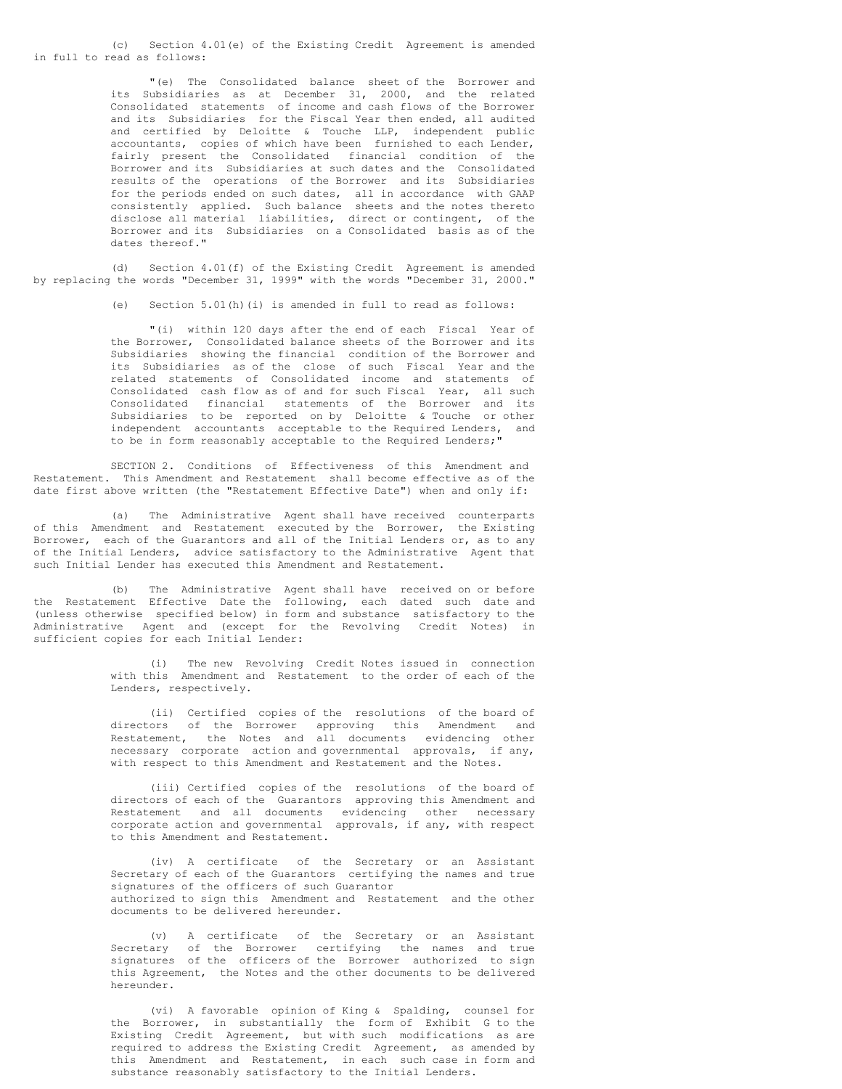(c) Section 4.01(e) of the Existing Credit Agreement is amended in full to read as follows:

> "(e) The Consolidated balance sheet of the Borrower and its Subsidiaries as at December 31, 2000, and the related Consolidated statements of income and cash flows of the Borrower and its Subsidiaries for the Fiscal Year then ended, all audited and certified by Deloitte & Touche LLP, independent public accountants, copies of which have been furnished to each Lender, fairly present the Consolidated financial condition of the Borrower and its Subsidiaries at such dates and the Consolidated results of the operations of the Borrower and its Subsidiaries for the periods ended on such dates, all in accordance with GAAP consistently applied. Such balance sheets and the notes thereto disclose all material liabilities, direct or contingent, of the Borrower and its Subsidiaries on a Consolidated basis as of the dates thereof."

(d) Section 4.01(f) of the Existing Credit Agreement is amended by replacing the words "December 31, 1999" with the words "December 31, 2000."

(e) Section 5.01(h)(i) is amended in full to read as follows:

"(i) within 120 days after the end of each Fiscal Year of the Borrower, Consolidated balance sheets of the Borrower and its Subsidiaries showing the financial condition of the Borrower and its Subsidiaries as of the close of such Fiscal Year and the related statements of Consolidated income and statements of Consolidated cash flow as of and for such Fiscal Year, all such Consolidated financial statements of the Borrower and its Subsidiaries to be reported on by Deloitte & Touche or other independent accountants acceptable to the Required Lenders, and to be in form reasonably acceptable to the Required Lenders;"

SECTION 2. Conditions of Effectiveness of this Amendment and Restatement. This Amendment and Restatement shall become effective as of the date first above written (the "Restatement Effective Date") when and only if:

(a) The Administrative Agent shall have received counterparts of this Amendment and Restatement executed by the Borrower, the Existing Borrower, each of the Guarantors and all of the Initial Lenders or, as to any of the Initial Lenders, advice satisfactory to the Administrative Agent that such Initial Lender has executed this Amendment and Restatement.

(b) The Administrative Agent shall have received on or before the Restatement Effective Date the following, each dated such date and (unless otherwise specified below) in form and substance satisfactory to the Administrative Agent and (except for the Revolving Credit Notes) in sufficient copies for each Initial Lender:

> (i) The new Revolving Credit Notes issued in connection with this Amendment and Restatement to the order of each of the Lenders, respectively.

> (ii) Certified copies of the resolutions of the board of directors of the Borrower approving this Amendment and Restatement, the Notes and all documents evidencing other necessary corporate action and governmental approvals, if any, with respect to this Amendment and Restatement and the Notes.

> (iii) Certified copies of the resolutions of the board of directors of each of the Guarantors approving this Amendment and Restatement and all documents evidencing other necessary corporate action and governmental approvals, if any, with respect to this Amendment and Restatement.

> (iv) A certificate of the Secretary or an Assistant Secretary of each of the Guarantors certifying the names and true signatures of the officers of such Guarantor authorized to sign this Amendment and Restatement and the other documents to be delivered hereunder.

> (v) A certificate of the Secretary or an Assistant Secretary of the Borrower certifying the names and true signatures of the officers of the Borrower authorized to sign this Agreement, the Notes and the other documents to be delivered hereunder.

> (vi) A favorable opinion of King & Spalding, counsel for the Borrower, in substantially the form of Exhibit G to the Existing Credit Agreement, but with such modifications as are required to address the Existing Credit Agreement, as amended by this Amendment and Restatement, in each such case in form and substance reasonably satisfactory to the Initial Lenders.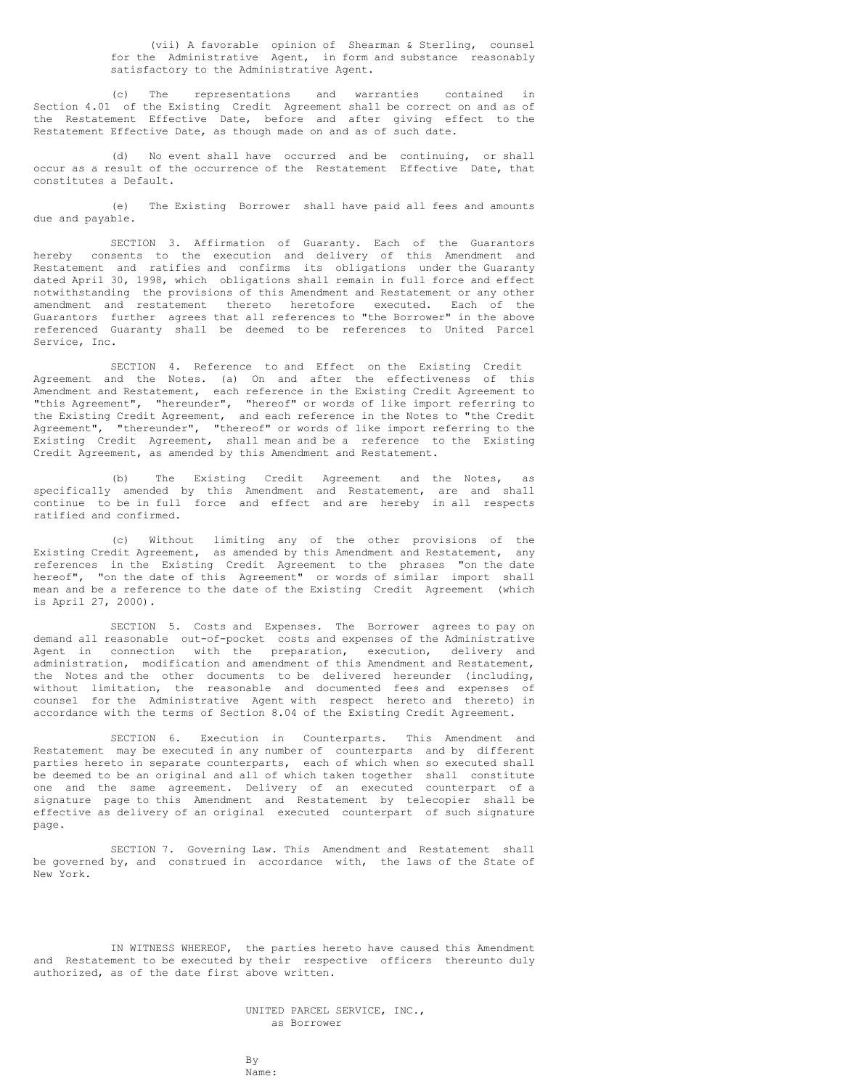(vii) A favorable opinion of Shearman & Sterling, counsel for the Administrative Agent, in form and substance reasonably satisfactory to the Administrative Agent.

(c) The representations and warranties contained in Section 4.01 of the Existing Credit Agreement shall be correct on and as of the Restatement Effective Date, before and after giving effect to the Restatement Effective Date, as though made on and as of such date.

(d) No event shall have occurred and be continuing, or shall occur as a result of the occurrence of the Restatement Effective Date, that constitutes a Default.

(e) The Existing Borrower shall have paid all fees and amounts due and payable.

SECTION 3. Affirmation of Guaranty. Each of the Guarantors hereby consents to the execution and delivery of this Amendment and Restatement and ratifies and confirms its obligations under the Guaranty dated April 30, 1998, which obligations shall remain in full force and effect notwithstanding the provisions of this Amendment and Restatement or any other amendment and restatement thereto heretofore executed. Each of the Guarantors further agrees that all references to "the Borrower" in the above referenced Guaranty shall be deemed to be references to United Parcel Service, Inc.

SECTION 4. Reference to and Effect on the Existing Credit Agreement and the Notes. (a) On and after the effectiveness of this Amendment and Restatement, each reference in the Existing Credit Agreement to "this Agreement", "hereunder", "hereof" or words of like import referring to the Existing Credit Agreement, and each reference in the Notes to "the Credit Agreement", "thereunder", "thereof" or words of like import referring to the Existing Credit Agreement, shall mean and be a reference to the Existing Credit Agreement, as amended by this Amendment and Restatement.

(b) The Existing Credit Agreement and the Notes, as specifically amended by this Amendment and Restatement, are and shall continue to be in full force and effect and are hereby in all respects ratified and confirmed.

(c) Without limiting any of the other provisions of the Existing Credit Agreement, as amended by this Amendment and Restatement, any references in the Existing Credit Agreement to the phrases "on the date hereof", "on the date of this Agreement" or words of similar import shall mean and be a reference to the date of the Existing Credit Agreement (which is April 27, 2000).

SECTION 5. Costs and Expenses. The Borrower agrees to pay on demand all reasonable out-of-pocket costs and expenses of the Administrative Agent in connection with the preparation, execution, delivery and administration, modification and amendment of this Amendment and Restatement, the Notes and the other documents to be delivered hereunder (including, without limitation, the reasonable and documented fees and expenses of counsel for the Administrative Agent with respect hereto and thereto) in accordance with the terms of Section 8.04 of the Existing Credit Agreement.

SECTION 6. Execution in Counterparts. This Amendment and Restatement may be executed in any number of counterparts and by different parties hereto in separate counterparts, each of which when so executed shall be deemed to be an original and all of which taken together shall constitute one and the same agreement. Delivery of an executed counterpart of a signature page to this Amendment and Restatement by telecopier shall be effective as delivery of an original executed counterpart of such signature page.

SECTION 7. Governing Law. This Amendment and Restatement shall be governed by, and construed in accordance with, the laws of the State of New York.

IN WITNESS WHEREOF, the parties hereto have caused this Amendment and Restatement to be executed by their respective officers thereunto duly authorized, as of the date first above written.

> UNITED PARCEL SERVICE, INC., as Borrower

By Name: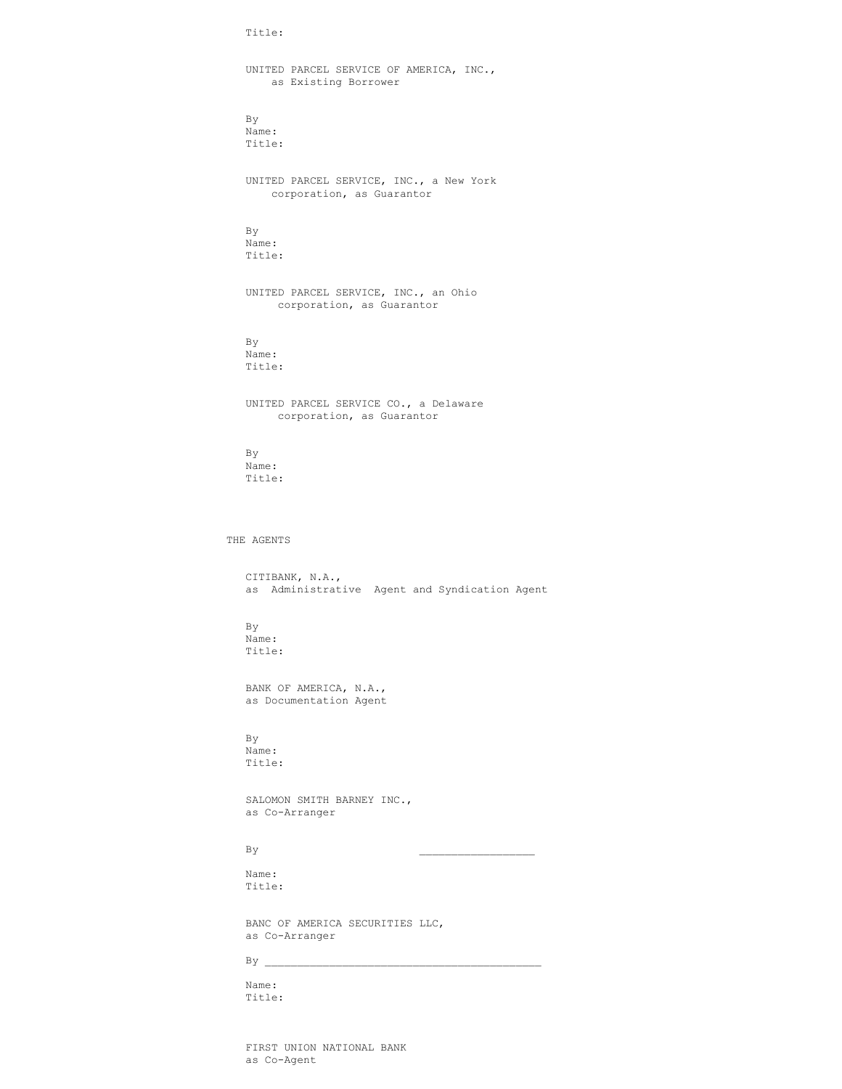Title:

UNITED PARCEL SERVICE OF AMERICA, INC., as Existing Borrower By Name: Title: UNITED PARCEL SERVICE, INC., a New York corporation, as Guarantor By Name: Title: UNITED PARCEL SERVICE, INC., an Ohio corporation, as Guarantor By Name: Title: UNITED PARCEL SERVICE CO., a Delaware corporation, as Guarantor By Name: Title: THE AGENTS CITIBANK, N.A., as Administrative Agent and Syndication Agent By Name: Title: BANK OF AMERICA, N.A., as Documentation Agent By Name: Title: SALOMON SMITH BARNEY INC., as Co-Arranger  $By$ Name: Title: BANC OF AMERICA SECURITIES LLC, as Co-Arranger  $By \_$ Name:

Title:

FIRST UNION NATIONAL BANK as Co-Agent